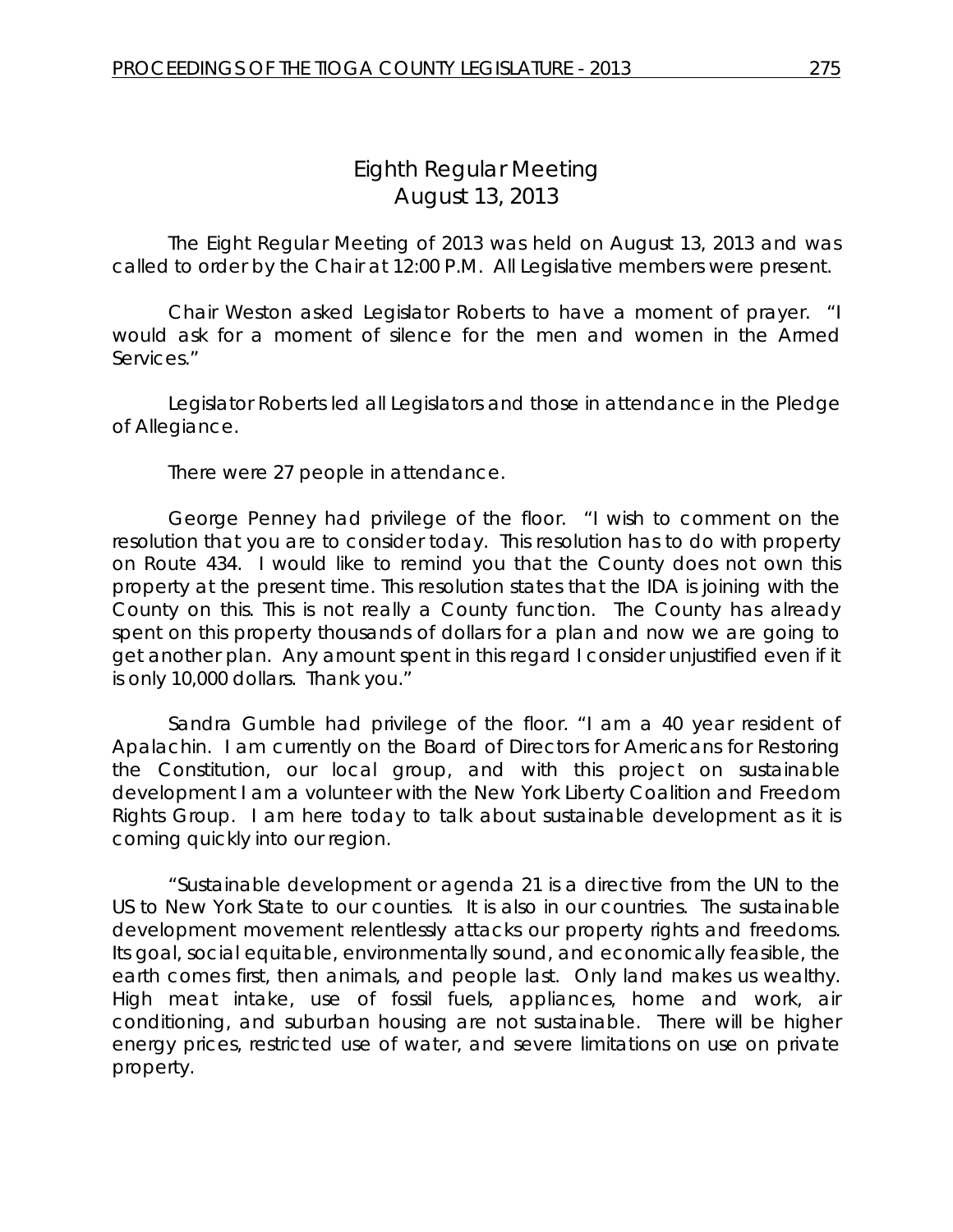The Eight Regular Meeting of 2013 was held on August 13, 2013 and was called to order by the Chair at 12:00 P.M. All Legislative members were present.

Chair Weston asked Legislator Roberts to have a moment of prayer. "I would ask for a moment of silence for the men and women in the Armed Services."

Legislator Roberts led all Legislators and those in attendance in the Pledge of Allegiance.

There were 27 people in attendance.

George Penney had privilege of the floor. "I wish to comment on the resolution that you are to consider today. This resolution has to do with property on Route 434. I would like to remind you that the County does not own this property at the present time. This resolution states that the IDA is joining with the County on this. This is not really a County function. The County has already spent on this property thousands of dollars for a plan and now we are going to get another plan. Any amount spent in this regard I consider unjustified even if it is only 10,000 dollars. Thank you."

Sandra Gumble had privilege of the floor. "I am a 40 year resident of Apalachin. I am currently on the Board of Directors for Americans for Restoring the Constitution, our local group, and with this project on sustainable development I am a volunteer with the New York Liberty Coalition and Freedom Rights Group. I am here today to talk about sustainable development as it is coming quickly into our region.

"Sustainable development or agenda 21 is a directive from the UN to the US to New York State to our counties. It is also in our countries. The sustainable development movement relentlessly attacks our property rights and freedoms. Its goal, social equitable, environmentally sound, and economically feasible, the earth comes first, then animals, and people last. Only land makes us wealthy. High meat intake, use of fossil fuels, appliances, home and work, air conditioning, and suburban housing are not sustainable. There will be higher energy prices, restricted use of water, and severe limitations on use on private property.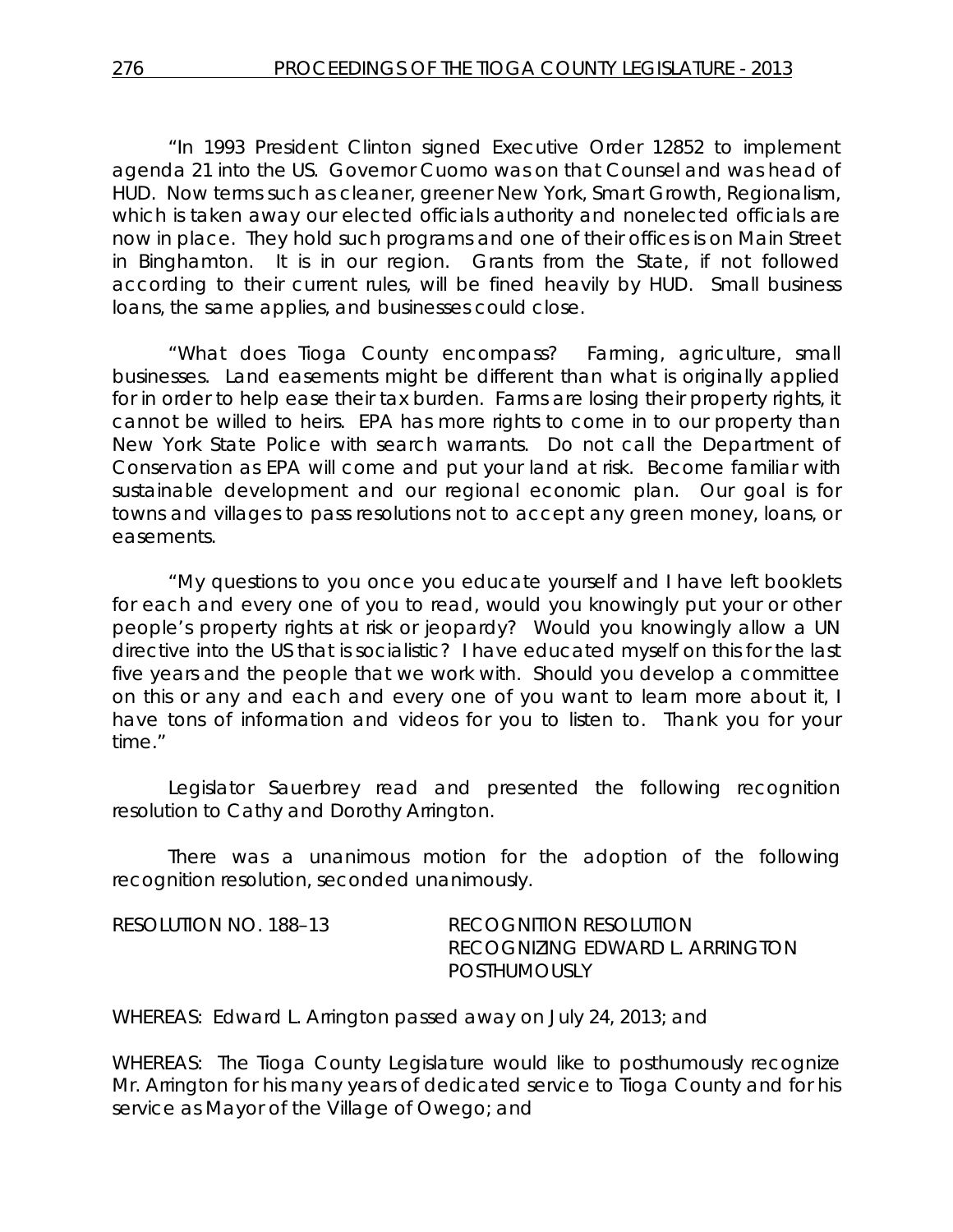"In 1993 President Clinton signed Executive Order 12852 to implement agenda 21 into the US. Governor Cuomo was on that Counsel and was head of HUD. Now terms such as cleaner, greener New York, Smart Growth, Regionalism, which is taken away our elected officials authority and nonelected officials are now in place. They hold such programs and one of their offices is on Main Street in Binghamton. It is in our region. Grants from the State, if not followed according to their current rules, will be fined heavily by HUD. Small business loans, the same applies, and businesses could close.

"What does Tioga County encompass? Farming, agriculture, small businesses. Land easements might be different than what is originally applied for in order to help ease their tax burden. Farms are losing their property rights, it cannot be willed to heirs. EPA has more rights to come in to our property than New York State Police with search warrants. Do not call the Department of Conservation as EPA will come and put your land at risk. Become familiar with sustainable development and our regional economic plan. Our goal is for towns and villages to pass resolutions not to accept any green money, loans, or easements.

"My questions to you once you educate yourself and I have left booklets for each and every one of you to read, would you knowingly put your or other people's property rights at risk or jeopardy? Would you knowingly allow a UN directive into the US that is socialistic? I have educated myself on this for the last five years and the people that we work with. Should you develop a committee on this or any and each and every one of you want to learn more about it, I have tons of information and videos for you to listen to. Thank you for your time."

Legislator Sauerbrey read and presented the following recognition resolution to Cathy and Dorothy Arrington.

There was a unanimous motion for the adoption of the following recognition resolution, seconded unanimously.

| RESOLUTION NO. 188–13 | RECOGNITION RESOLUTION          |
|-----------------------|---------------------------------|
|                       | RECOGNIZING EDWARD L. ARRINGTON |
|                       | <b>POSTHUMOUSLY</b>             |

WHEREAS: Edward L. Arrington passed away on July 24, 2013; and

WHEREAS: The Tioga County Legislature would like to posthumously recognize Mr. Arrington for his many years of dedicated service to Tioga County and for his service as Mayor of the Village of Owego; and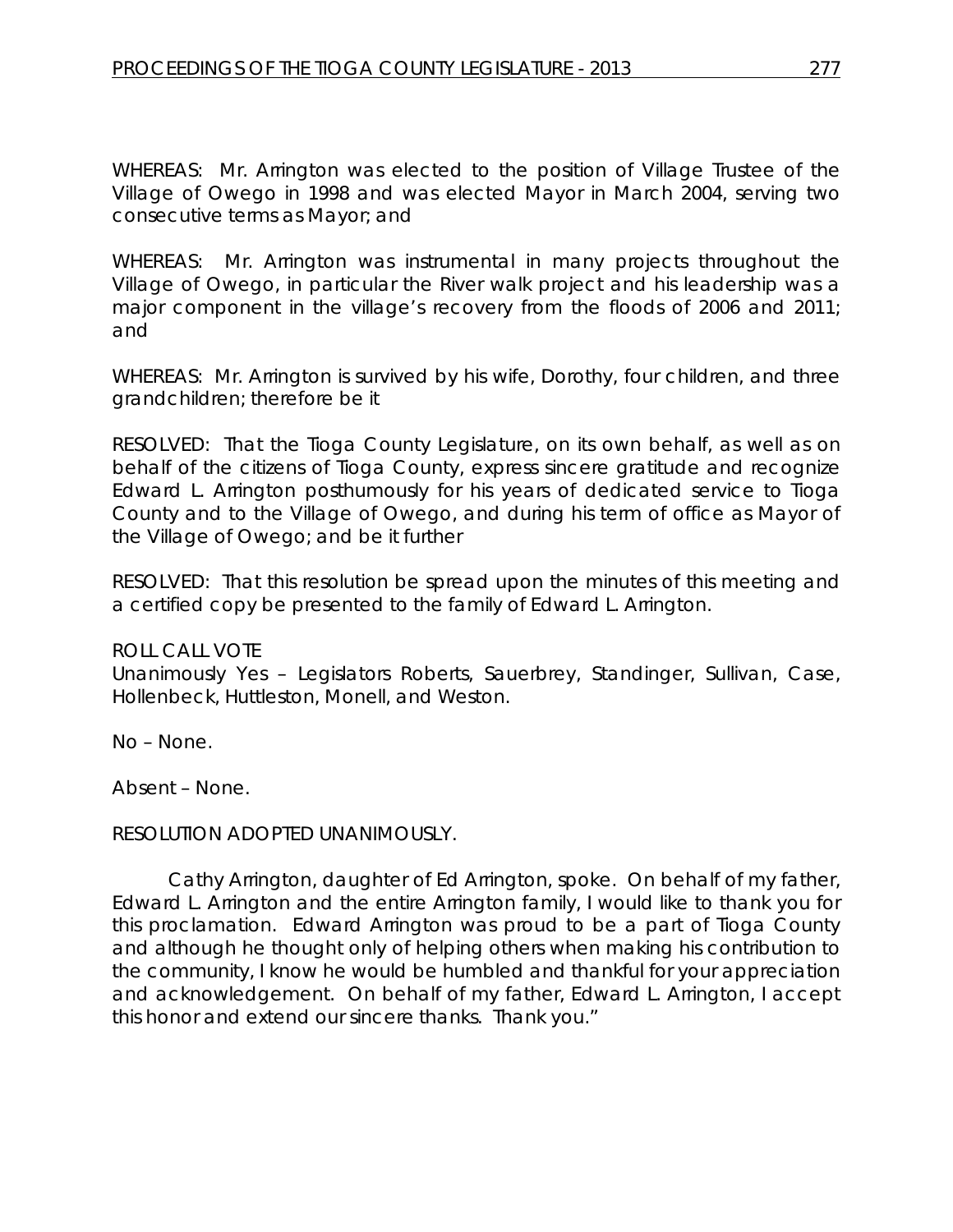WHEREAS: Mr. Arrington was elected to the position of Village Trustee of the Village of Owego in 1998 and was elected Mayor in March 2004, serving two consecutive terms as Mayor; and

WHEREAS: Mr. Arrington was instrumental in many projects throughout the Village of Owego, in particular the River walk project and his leadership was a major component in the village's recovery from the floods of 2006 and 2011; and

WHEREAS: Mr. Arrington is survived by his wife, Dorothy, four children, and three grandchildren; therefore be it

RESOLVED: That the Tioga County Legislature, on its own behalf, as well as on behalf of the citizens of Tioga County, express sincere gratitude and recognize Edward L. Arrington posthumously for his years of dedicated service to Tioga County and to the Village of Owego, and during his term of office as Mayor of the Village of Owego; and be it further

RESOLVED: That this resolution be spread upon the minutes of this meeting and a certified copy be presented to the family of Edward L. Arrington.

#### ROLL CALL VOTE

Unanimously Yes – Legislators Roberts, Sauerbrey, Standinger, Sullivan, Case, Hollenbeck, Huttleston, Monell, and Weston.

No – None.

Absent – None.

#### RESOLUTION ADOPTED UNANIMOUSLY.

Cathy Arrington, daughter of Ed Arrington, spoke. On behalf of my father, Edward L. Arrington and the entire Arrington family, I would like to thank you for this proclamation. Edward Arrington was proud to be a part of Tioga County and although he thought only of helping others when making his contribution to the community, I know he would be humbled and thankful for your appreciation and acknowledgement. On behalf of my father, Edward L. Arrington, I accept this honor and extend our sincere thanks. Thank you."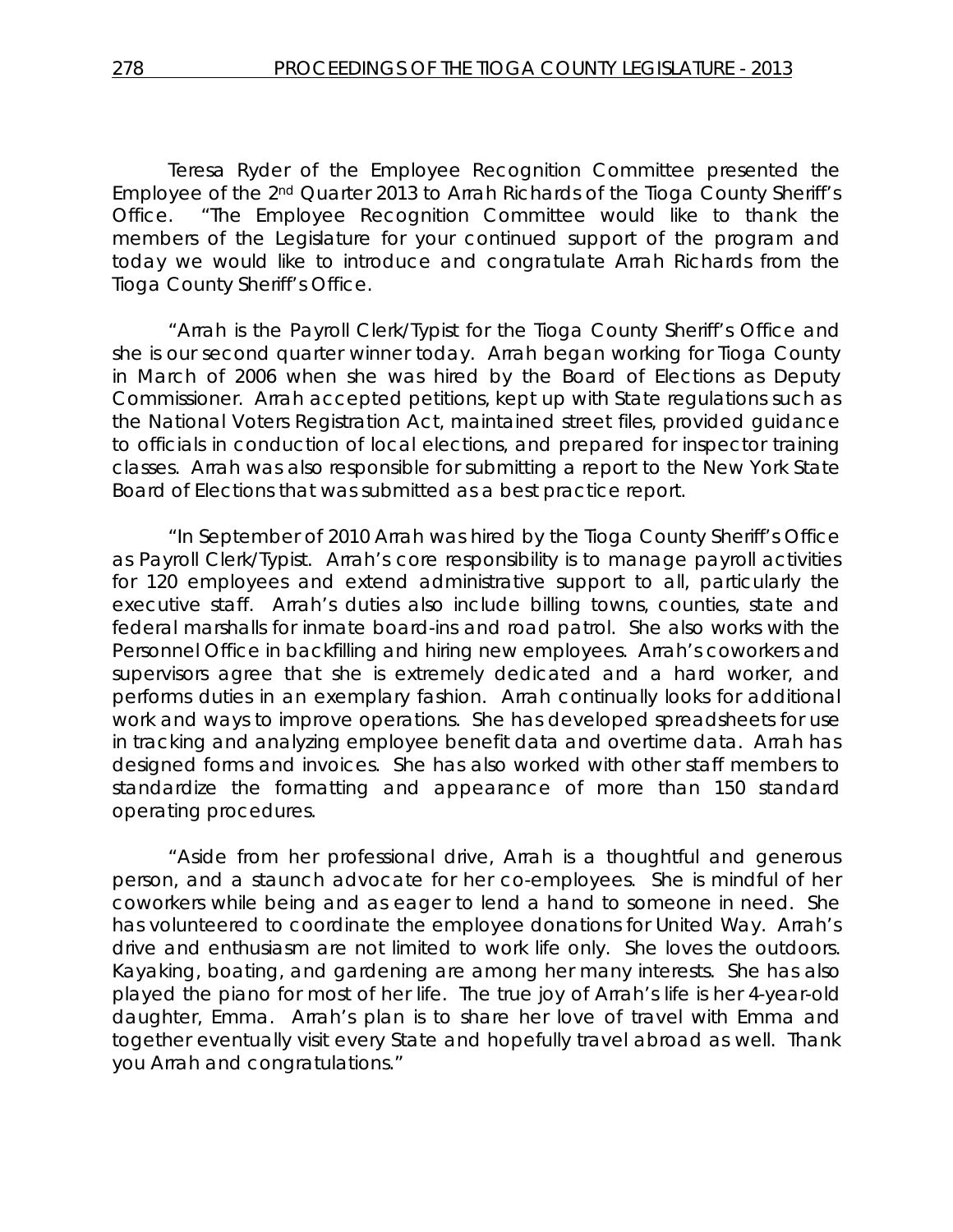Teresa Ryder of the Employee Recognition Committee presented the Employee of the 2nd Quarter 2013 to Arrah Richards of the Tioga County Sheriff's Office. "The Employee Recognition Committee would like to thank the members of the Legislature for your continued support of the program and today we would like to introduce and congratulate Arrah Richards from the Tioga County Sheriff's Office.

"Arrah is the Payroll Clerk/Typist for the Tioga County Sheriff's Office and she is our second quarter winner today. Arrah began working for Tioga County in March of 2006 when she was hired by the Board of Elections as Deputy Commissioner. Arrah accepted petitions, kept up with State regulations such as the National Voters Registration Act, maintained street files, provided guidance to officials in conduction of local elections, and prepared for inspector training classes. Arrah was also responsible for submitting a report to the New York State Board of Elections that was submitted as a best practice report.

"In September of 2010 Arrah was hired by the Tioga County Sheriff's Office as Payroll Clerk/Typist. Arrah's core responsibility is to manage payroll activities for 120 employees and extend administrative support to all, particularly the executive staff. Arrah's duties also include billing towns, counties, state and federal marshalls for inmate board-ins and road patrol. She also works with the Personnel Office in backfilling and hiring new employees. Arrah's coworkers and supervisors agree that she is extremely dedicated and a hard worker, and performs duties in an exemplary fashion. Arrah continually looks for additional work and ways to improve operations. She has developed spreadsheets for use in tracking and analyzing employee benefit data and overtime data. Arrah has designed forms and invoices. She has also worked with other staff members to standardize the formatting and appearance of more than 150 standard operating procedures.

"Aside from her professional drive, Arrah is a thoughtful and generous person, and a staunch advocate for her co-employees. She is mindful of her coworkers while being and as eager to lend a hand to someone in need. She has volunteered to coordinate the employee donations for United Way. Arrah's drive and enthusiasm are not limited to work life only. She loves the outdoors. Kayaking, boating, and gardening are among her many interests. She has also played the piano for most of her life. The true joy of Arrah's life is her 4-year-old daughter, Emma. Arrah's plan is to share her love of travel with Emma and together eventually visit every State and hopefully travel abroad as well. Thank you Arrah and congratulations."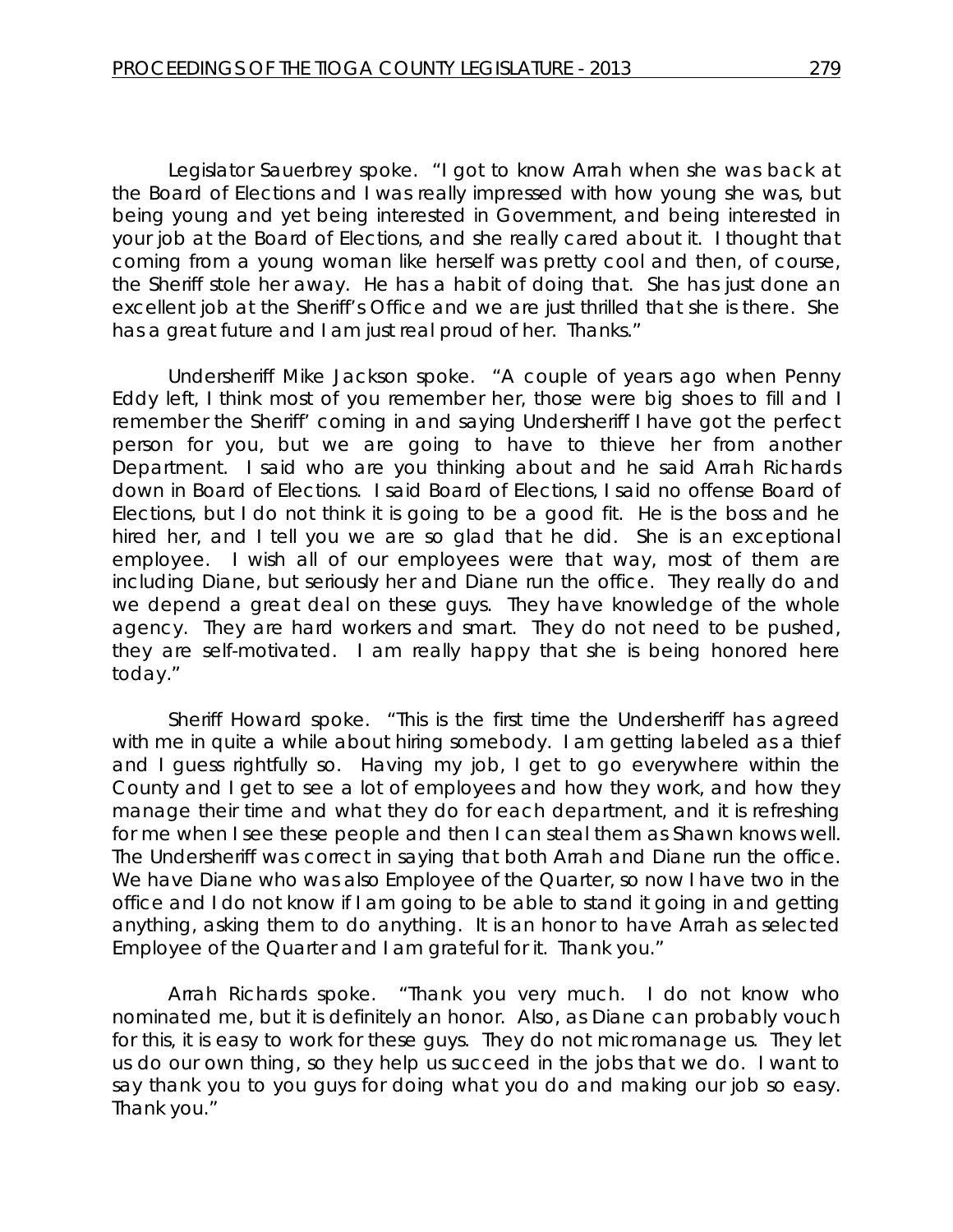Legislator Sauerbrey spoke. "I got to know Arrah when she was back at the Board of Elections and I was really impressed with how young she was, but being young and yet being interested in Government, and being interested in your job at the Board of Elections, and she really cared about it. I thought that coming from a young woman like herself was pretty cool and then, of course, the Sheriff stole her away. He has a habit of doing that. She has just done an excellent job at the Sheriff's Office and we are just thrilled that she is there. She has a great future and I am just real proud of her. Thanks."

Undersheriff Mike Jackson spoke. "A couple of years ago when Penny Eddy left, I think most of you remember her, those were big shoes to fill and I remember the Sheriff' coming in and saying Undersheriff I have got the perfect person for you, but we are going to have to thieve her from another Department. I said who are you thinking about and he said Arrah Richards down in Board of Elections. I said Board of Elections, I said no offense Board of Elections, but I do not think it is going to be a good fit. He is the boss and he hired her, and I tell you we are so glad that he did. She is an exceptional employee. I wish all of our employees were that way, most of them are including Diane, but seriously her and Diane run the office. They really do and we depend a great deal on these guys. They have knowledge of the whole agency. They are hard workers and smart. They do not need to be pushed, they are self-motivated. I am really happy that she is being honored here today."

Sheriff Howard spoke. "This is the first time the Undersheriff has agreed with me in quite a while about hiring somebody. I am getting labeled as a thief and I guess rightfully so. Having my job, I get to go everywhere within the County and I get to see a lot of employees and how they work, and how they manage their time and what they do for each department, and it is refreshing for me when I see these people and then I can steal them as Shawn knows well. The Undersheriff was correct in saying that both Arrah and Diane run the office. We have Diane who was also Employee of the Quarter, so now I have two in the office and I do not know if I am going to be able to stand it going in and getting anything, asking them to do anything. It is an honor to have Arrah as selected Employee of the Quarter and I am grateful for it. Thank you."

Arrah Richards spoke. "Thank you very much. I do not know who nominated me, but it is definitely an honor. Also, as Diane can probably vouch for this, it is easy to work for these guys. They do not micromanage us. They let us do our own thing, so they help us succeed in the jobs that we do. I want to say thank you to you guys for doing what you do and making our job so easy. Thank you."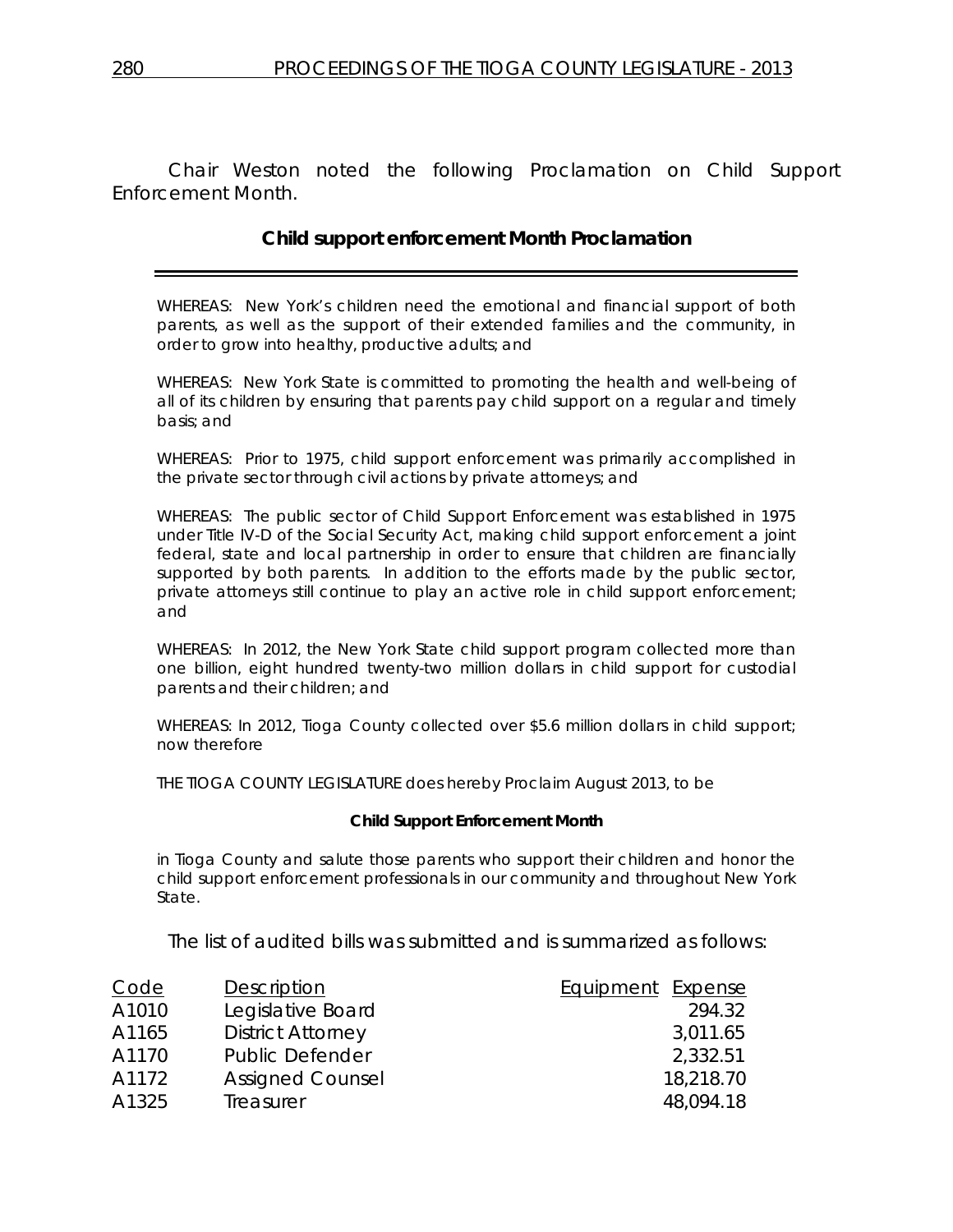Chair Weston noted the following Proclamation on Child Support Enforcement Month.

# **Child support enforcement Month Proclamation**

WHEREAS: New York's children need the emotional and financial support of both parents, as well as the support of their extended families and the community, in order to grow into healthy, productive adults; and

WHEREAS: New York State is committed to promoting the health and well-being of all of its children by ensuring that parents pay child support on a regular and timely basis; and

WHEREAS: Prior to 1975, child support enforcement was primarily accomplished in the private sector through civil actions by private attorneys; and

WHEREAS: The public sector of Child Support Enforcement was established in 1975 under Title IV-D of the Social Security Act, making child support enforcement a joint federal, state and local partnership in order to ensure that children are financially supported by both parents. In addition to the efforts made by the public sector, private attorneys still continue to play an active role in child support enforcement; and

WHEREAS: In 2012, the New York State child support program collected more than one billion, eight hundred twenty-two million dollars in child support for custodial parents and their children; and

WHEREAS: In 2012, Tioga County collected over \$5.6 million dollars in child support; now therefore

THE TIOGA COUNTY LEGISLATURE does hereby Proclaim August 2013, to be

#### **Child Support Enforcement Month**

in Tioga County and salute those parents who support their children and honor the child support enforcement professionals in our community and throughout New York State.

The list of audited bills was submitted and is summarized as follows:

| Code  | Description              | Equipment Expense |
|-------|--------------------------|-------------------|
| A1010 | Legislative Board        | 294.32            |
| A1165 | <b>District Attorney</b> | 3,011.65          |
| A1170 | <b>Public Defender</b>   | 2,332.51          |
| A1172 | <b>Assigned Counsel</b>  | 18,218.70         |
| A1325 | Treasurer                | 48,094.18         |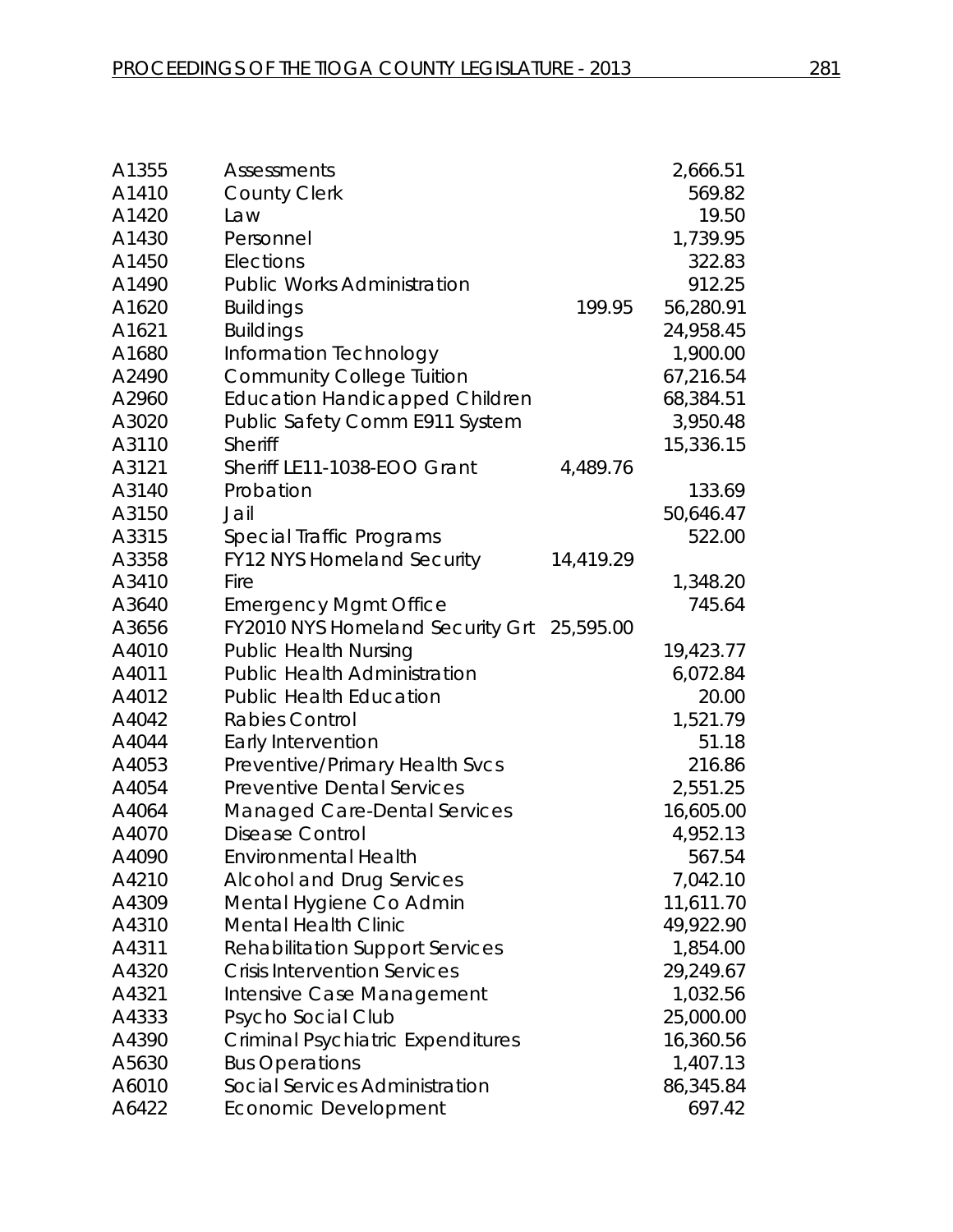| A1355 | <b>Assessments</b>                         |           | 2,666.51  |
|-------|--------------------------------------------|-----------|-----------|
| A1410 | <b>County Clerk</b>                        |           | 569.82    |
| A1420 | Law                                        |           | 19.50     |
| A1430 | Personnel                                  |           | 1,739.95  |
| A1450 | Elections                                  |           | 322.83    |
| A1490 | <b>Public Works Administration</b>         |           | 912.25    |
| A1620 | <b>Buildings</b>                           | 199.95    | 56,280.91 |
| A1621 | <b>Buildings</b>                           |           | 24,958.45 |
| A1680 | Information Technology                     |           | 1,900.00  |
| A2490 | <b>Community College Tuition</b>           |           | 67,216.54 |
| A2960 | <b>Education Handicapped Children</b>      |           | 68,384.51 |
| A3020 | Public Safety Comm E911 System             |           | 3,950.48  |
| A3110 | <b>Sheriff</b>                             |           | 15,336.15 |
| A3121 | Sheriff LE11-1038-EOO Grant                | 4,489.76  |           |
| A3140 | Probation                                  |           | 133.69    |
| A3150 | Jail                                       |           | 50,646.47 |
| A3315 | Special Traffic Programs                   |           | 522.00    |
| A3358 | <b>FY12 NYS Homeland Security</b>          | 14,419.29 |           |
| A3410 | Fire                                       |           | 1,348.20  |
| A3640 | <b>Emergency Mgmt Office</b>               |           | 745.64    |
| A3656 | FY2010 NYS Homeland Security Grt 25,595.00 |           |           |
| A4010 | <b>Public Health Nursing</b>               |           | 19,423.77 |
| A4011 | <b>Public Health Administration</b>        |           | 6,072.84  |
| A4012 | <b>Public Health Education</b>             |           | 20.00     |
| A4042 | <b>Rabies Control</b>                      |           | 1,521.79  |
| A4044 | Early Intervention                         |           | 51.18     |
| A4053 | Preventive/Primary Health Svcs             |           | 216.86    |
| A4054 | <b>Preventive Dental Services</b>          |           | 2,551.25  |
| A4064 | <b>Managed Care-Dental Services</b>        |           | 16,605.00 |
| A4070 | <b>Disease Control</b>                     |           | 4,952.13  |
| A4090 | <b>Environmental Health</b>                |           | 567.54    |
| A4210 | <b>Alcohol and Drug Services</b>           |           | 7,042.10  |
| A4309 | Mental Hygiene Co Admin                    |           | 11,611.70 |
| A4310 | <b>Mental Health Clinic</b>                |           | 49,922.90 |
| A4311 | <b>Rehabilitation Support Services</b>     |           | 1,854.00  |
| A4320 | <b>Crisis Intervention Services</b>        |           | 29,249.67 |
| A4321 | Intensive Case Management                  |           | 1,032.56  |
| A4333 | Psycho Social Club                         |           | 25,000.00 |
| A4390 | <b>Criminal Psychiatric Expenditures</b>   |           | 16,360.56 |
| A5630 | <b>Bus Operations</b>                      |           | 1,407.13  |
| A6010 | Social Services Administration             |           | 86,345.84 |
| A6422 | Economic Development                       |           | 697.42    |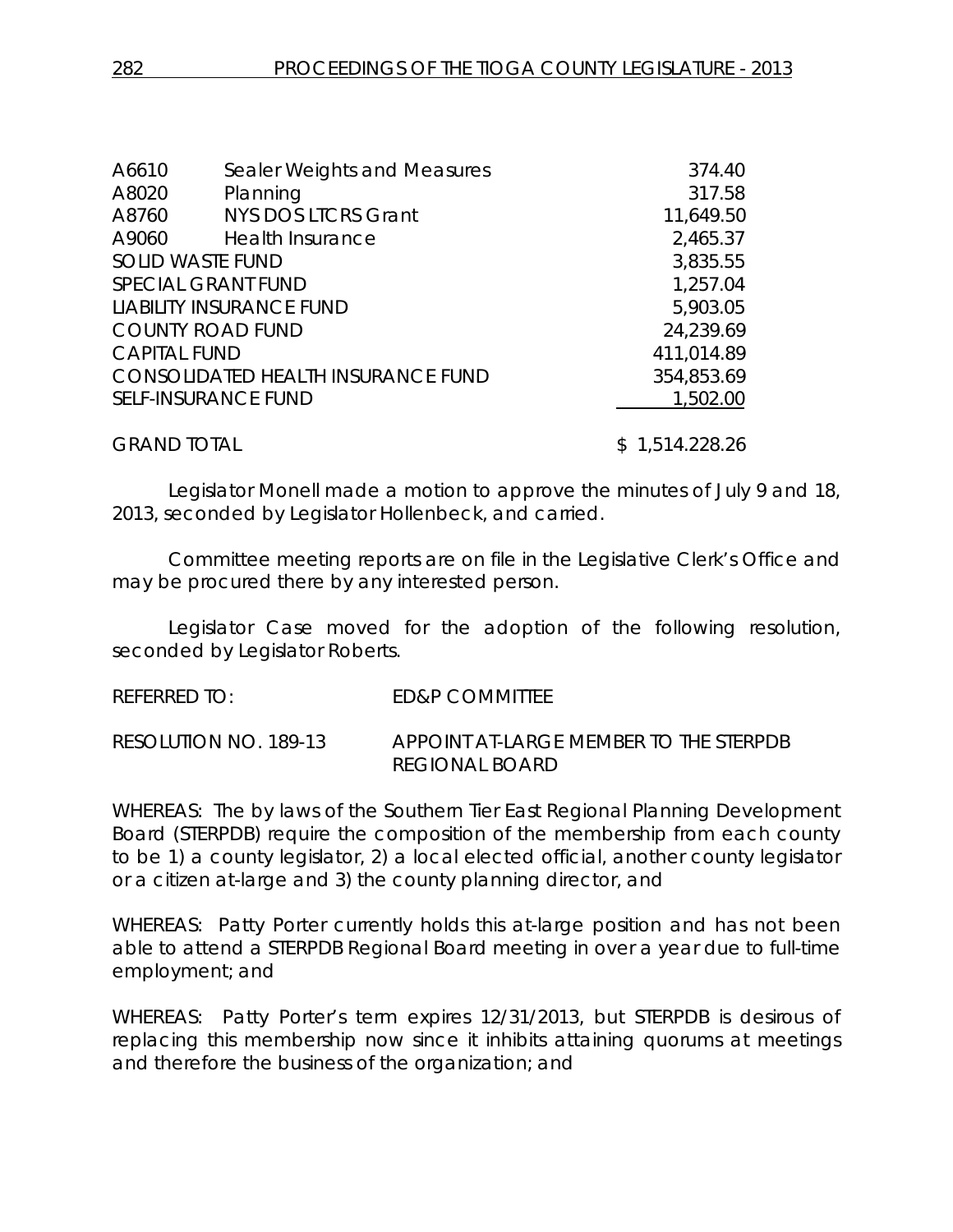| A6610               | Sealer Weights and Measures               | 374.40     |
|---------------------|-------------------------------------------|------------|
| A8020               | Planning                                  | 317.58     |
| A8760               | <b>NYS DOS LTCRS Grant</b>                | 11,649.50  |
| A9060               | <b>Health Insurance</b>                   | 2,465.37   |
|                     | <b>SOLID WASTE FUND</b>                   | 3,835.55   |
|                     | <b>SPECIAL GRANT FUND</b>                 | 1,257.04   |
|                     | <b>LIABILITY INSURANCE FUND</b>           | 5,903.05   |
|                     | <b>COUNTY ROAD FUND</b>                   | 24,239.69  |
| <b>CAPITAL FUND</b> |                                           | 411,014.89 |
|                     | <b>CONSOLIDATED HEALTH INSURANCE FUND</b> | 354,853.69 |
|                     | <b>SELF-INSURANCE FUND</b>                | 1,502.00   |
|                     |                                           |            |

GRAND TOTAL \$1,514.228.26

Legislator Monell made a motion to approve the minutes of July 9 and 18, 2013, seconded by Legislator Hollenbeck, and carried.

Committee meeting reports are on file in the Legislative Clerk's Office and may be procured there by any interested person.

Legislator Case moved for the adoption of the following resolution, seconded by Legislator Roberts.

REFERRED TO: ED&P COMMITTEE

RESOLUTION NO. 189-13 *APPOINT AT-LARGE MEMBER TO THE STERPDB REGIONAL BOARD*

WHEREAS: The by laws of the Southern Tier East Regional Planning Development Board (STERPDB) require the composition of the membership from each county to be 1) a county legislator, 2) a local elected official, another county legislator or a citizen at-large and 3) the county planning director, and

WHEREAS: Patty Porter currently holds this at-large position and has not been able to attend a STERPDB Regional Board meeting in over a year due to full-time employment; and

WHEREAS: Patty Porter's term expires 12/31/2013, but STERPDB is desirous of replacing this membership now since it inhibits attaining quorums at meetings and therefore the business of the organization; and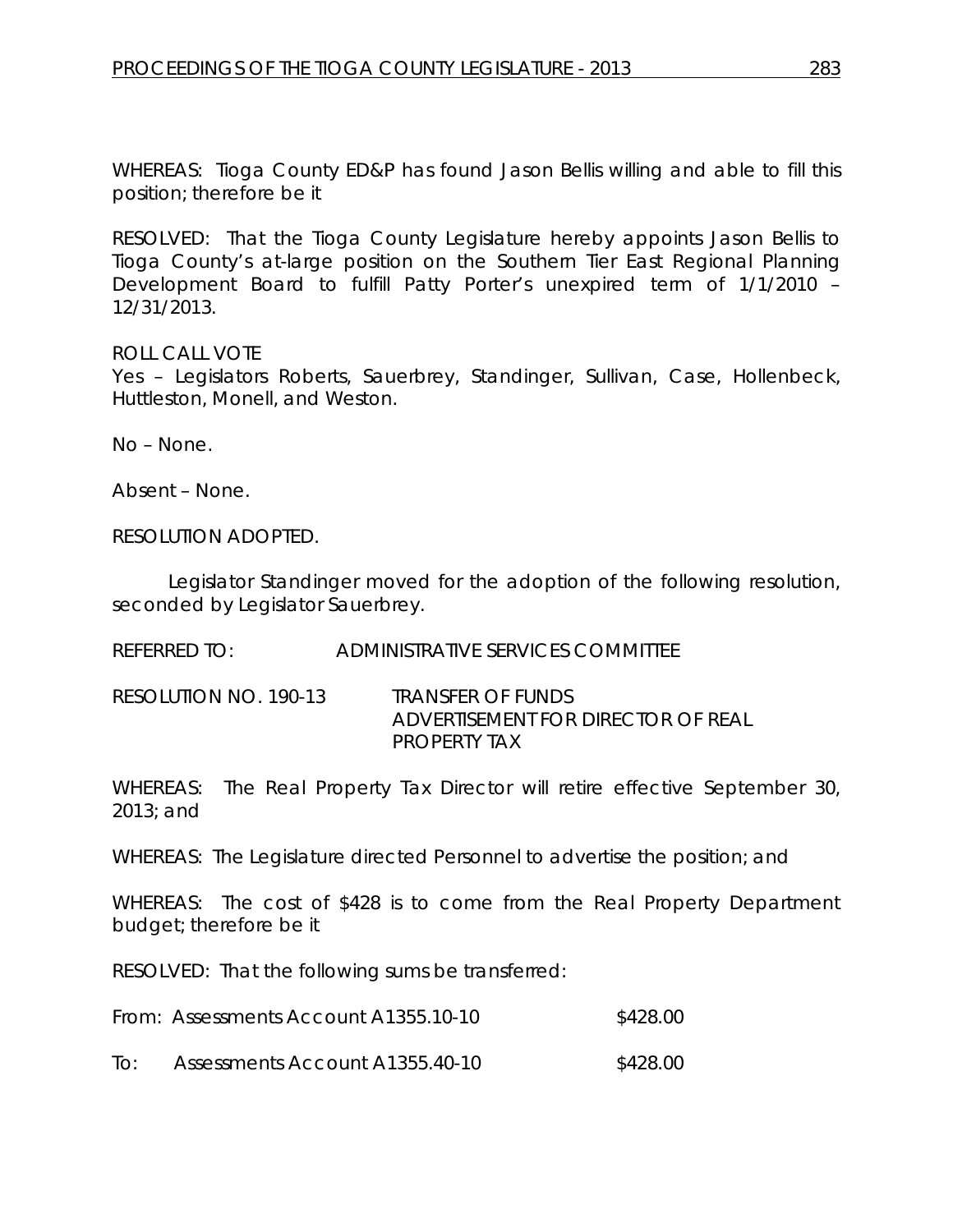WHEREAS: Tioga County ED&P has found Jason Bellis willing and able to fill this position; therefore be it

RESOLVED: That the Tioga County Legislature hereby appoints Jason Bellis to Tioga County's at-large position on the Southern Tier East Regional Planning Development Board to fulfill Patty Porter's unexpired term of 1/1/2010 – 12/31/2013.

ROLL CALL VOTE

Yes – Legislators Roberts, Sauerbrey, Standinger, Sullivan, Case, Hollenbeck, Huttleston, Monell, and Weston.

No – None.

Absent – None.

RESOLUTION ADOPTED.

Legislator Standinger moved for the adoption of the following resolution, seconded by Legislator Sauerbrey.

REFERRED TO: ADMINISTRATIVE SERVICES COMMITTEE

RESOLUTION NO. 190-13 *TRANSFER OF FUNDS ADVERTISEMENT FOR DIRECTOR OF REAL PROPERTY TAX*

WHEREAS: The Real Property Tax Director will retire effective September 30, 2013; and

WHEREAS: The Legislature directed Personnel to advertise the position; and

WHEREAS: The cost of \$428 is to come from the Real Property Department budget; therefore be it

RESOLVED: That the following sums be transferred:

| From: Assessments Account A1355.10-10 | \$428.00 |
|---------------------------------------|----------|
|                                       |          |

To: Assessments Account A1355.40-10 \$428.00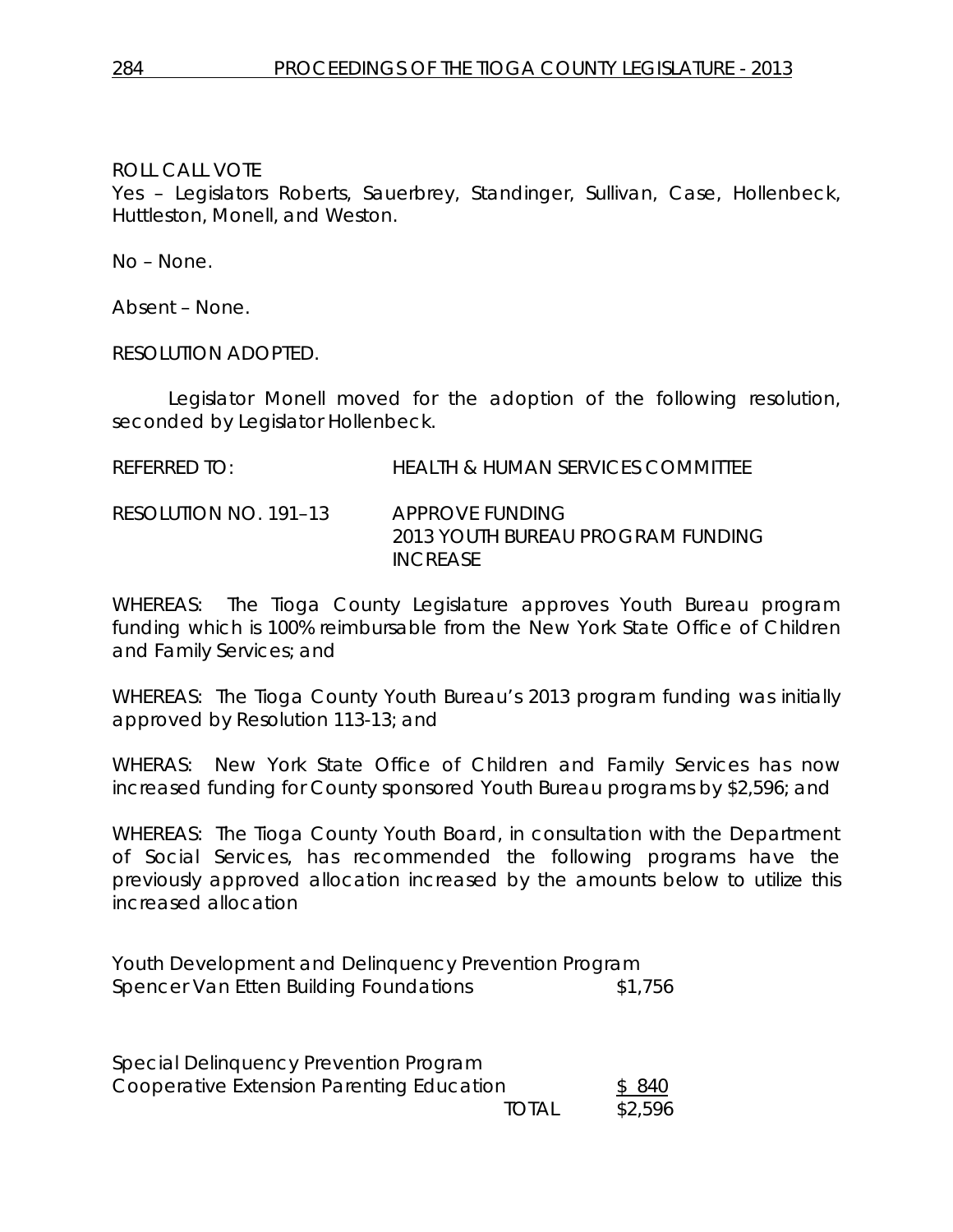Yes – Legislators Roberts, Sauerbrey, Standinger, Sullivan, Case, Hollenbeck, Huttleston, Monell, and Weston.

No – None.

Absent – None.

RESOLUTION ADOPTED.

Legislator Monell moved for the adoption of the following resolution, seconded by Legislator Hollenbeck.

RESOLUTION NO. 191–13 *APPROVE FUNDING 2013 YOUTH BUREAU PROGRAM FUNDING INCREASE*

WHEREAS: The Tioga County Legislature approves Youth Bureau program funding which is 100% reimbursable from the New York State Office of Children and Family Services; and

WHEREAS: The Tioga County Youth Bureau's 2013 program funding was initially approved by Resolution 113-13; and

WHERAS: New York State Office of Children and Family Services has now increased funding for County sponsored Youth Bureau programs by \$2,596; and

WHEREAS: The Tioga County Youth Board, in consultation with the Department of Social Services, has recommended the following programs have the previously approved allocation increased by the amounts below to utilize this increased allocation

Youth Development and Delinquency Prevention Program Spencer Van Etten Building Foundations \$1,756

| Special Delinquency Prevention Program    |       |         |
|-------------------------------------------|-------|---------|
| Cooperative Extension Parenting Education |       | \$ 840  |
|                                           | total | \$2,596 |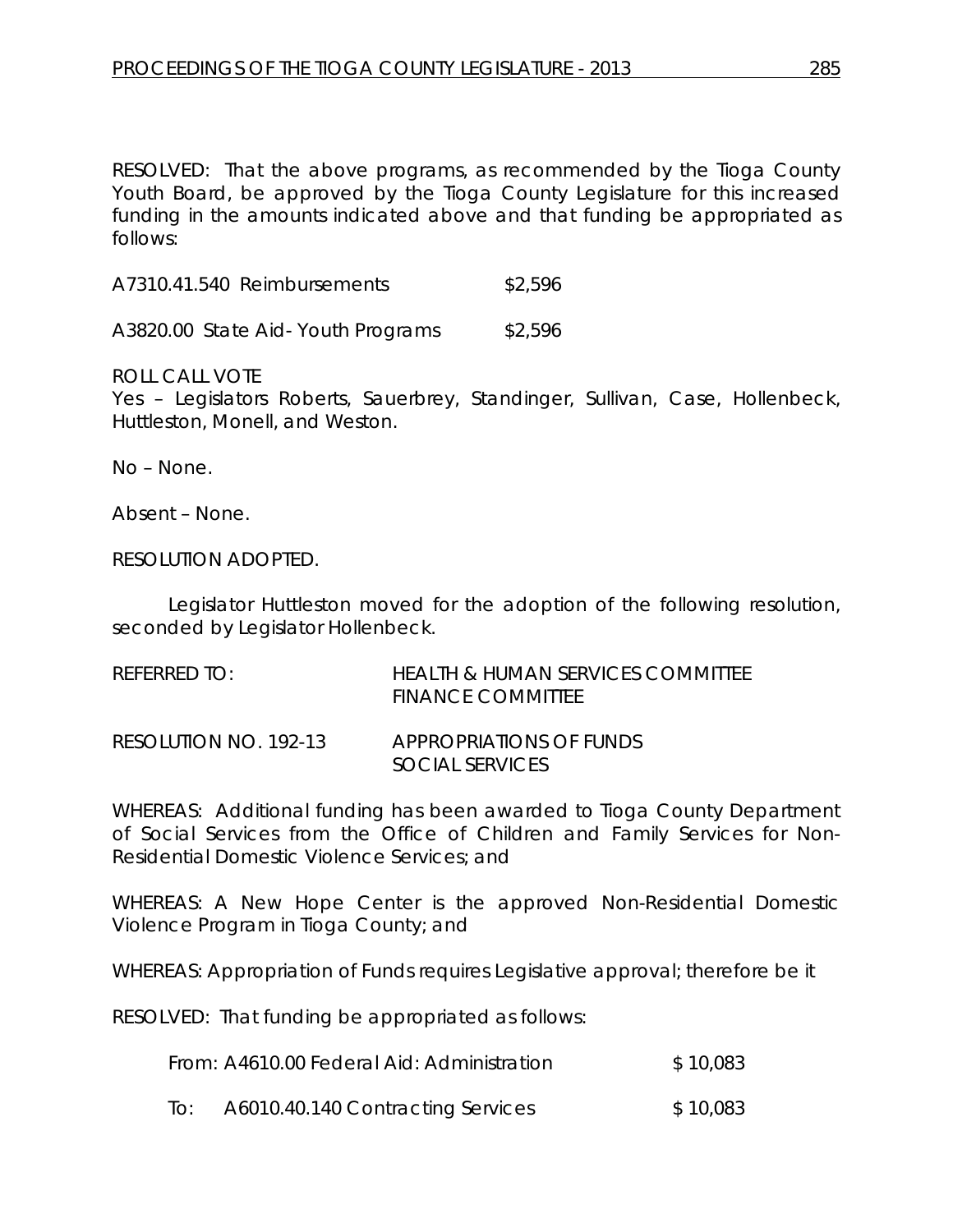RESOLVED: That the above programs, as recommended by the Tioga County Youth Board, be approved by the Tioga County Legislature for this increased funding in the amounts indicated above and that funding be appropriated as follows:

| A7310.41.540 Reimbursements | \$2,596 |
|-----------------------------|---------|
|                             |         |

A3820.00 State Aid-Youth Programs \$2,596

ROLL CALL VOTE

Yes – Legislators Roberts, Sauerbrey, Standinger, Sullivan, Case, Hollenbeck, Huttleston, Monell, and Weston.

No – None.

Absent – None.

#### RESOLUTION ADOPTED.

Legislator Huttleston moved for the adoption of the following resolution, seconded by Legislator Hollenbeck.

| REFERRED TO:          | <b>HEALTH &amp; HUMAN SERVICES COMMITTEE</b><br><b>FINANCE COMMITTEE</b> |
|-----------------------|--------------------------------------------------------------------------|
| RESOLUTION NO. 192-13 | APPROPRIATIONS OF FUNDS<br>SOCIAL SERVICES                               |

WHEREAS: Additional funding has been awarded to Tioga County Department of Social Services from the Office of Children and Family Services for Non-Residential Domestic Violence Services; and

WHEREAS: A New Hope Center is the approved Non-Residential Domestic Violence Program in Tioga County; and

WHEREAS: Appropriation of Funds requires Legislative approval; therefore be it

RESOLVED: That funding be appropriated as follows:

| From: A4610.00 Federal Aid: Administration | \$10,083 |
|--------------------------------------------|----------|
|                                            |          |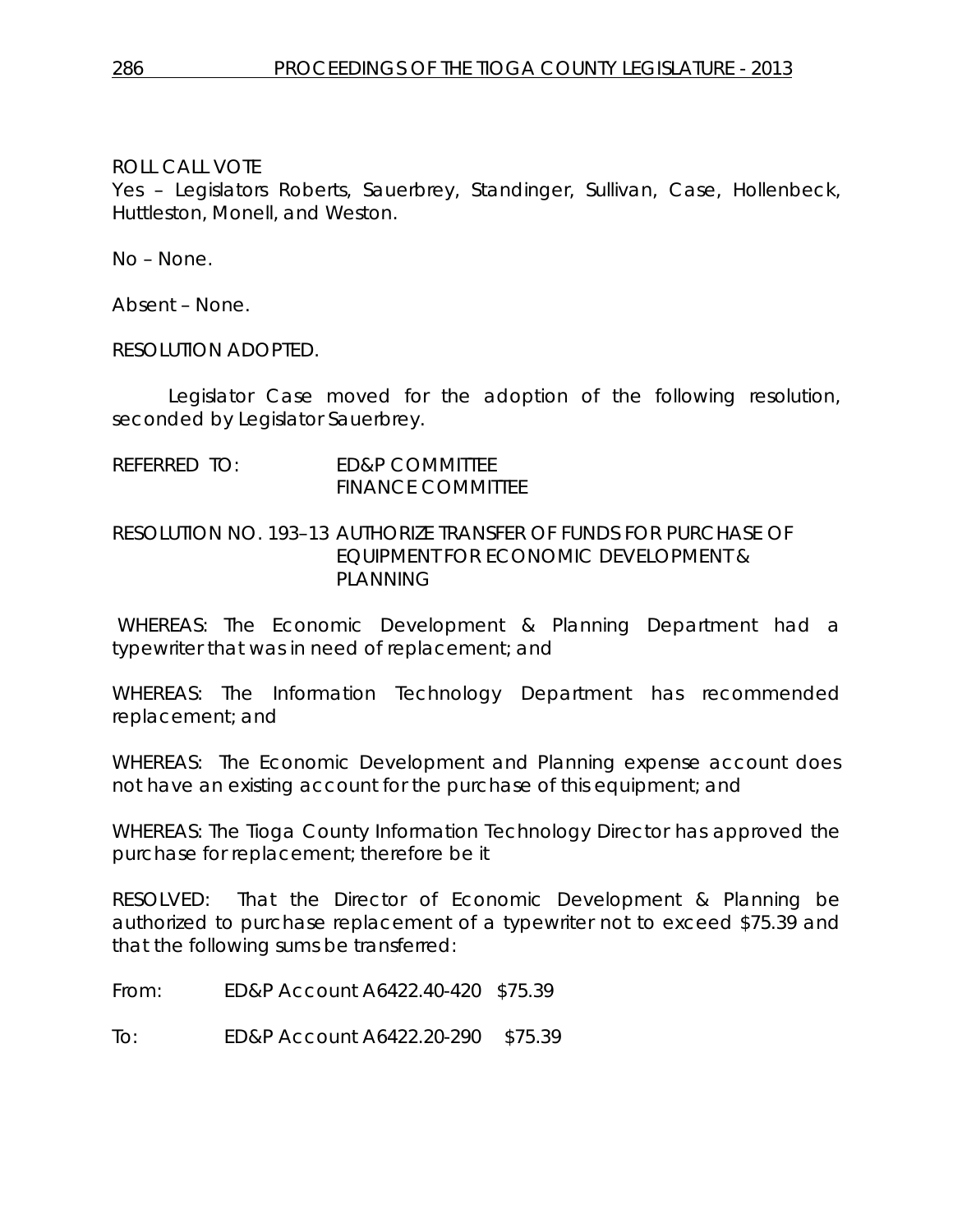Yes – Legislators Roberts, Sauerbrey, Standinger, Sullivan, Case, Hollenbeck, Huttleston, Monell, and Weston.

No – None.

Absent – None.

RESOLUTION ADOPTED.

Legislator Case moved for the adoption of the following resolution, seconded by Legislator Sauerbrey.

REFERRED TO: ED&P COMMITTEE FINANCE COMMITTEE

#### RESOLUTION NO. 193–13 *AUTHORIZE TRANSFER OF FUNDS FOR PURCHASE OF EQUIPMENT FOR ECONOMIC DEVELOPMENT & PLANNING*

WHEREAS: The Economic Development & Planning Department had a typewriter that was in need of replacement; and

WHEREAS: The Information Technology Department has recommended replacement; and

WHEREAS: The Economic Development and Planning expense account does not have an existing account for the purchase of this equipment; and

WHEREAS: The Tioga County Information Technology Director has approved the purchase for replacement; therefore be it

RESOLVED: That the Director of Economic Development & Planning be authorized to purchase replacement of a typewriter not to exceed \$75.39 and that the following sums be transferred:

From: ED&P Account A6422.40-420 \$75.39

To: ED&P Account A6422.20-290 \$75.39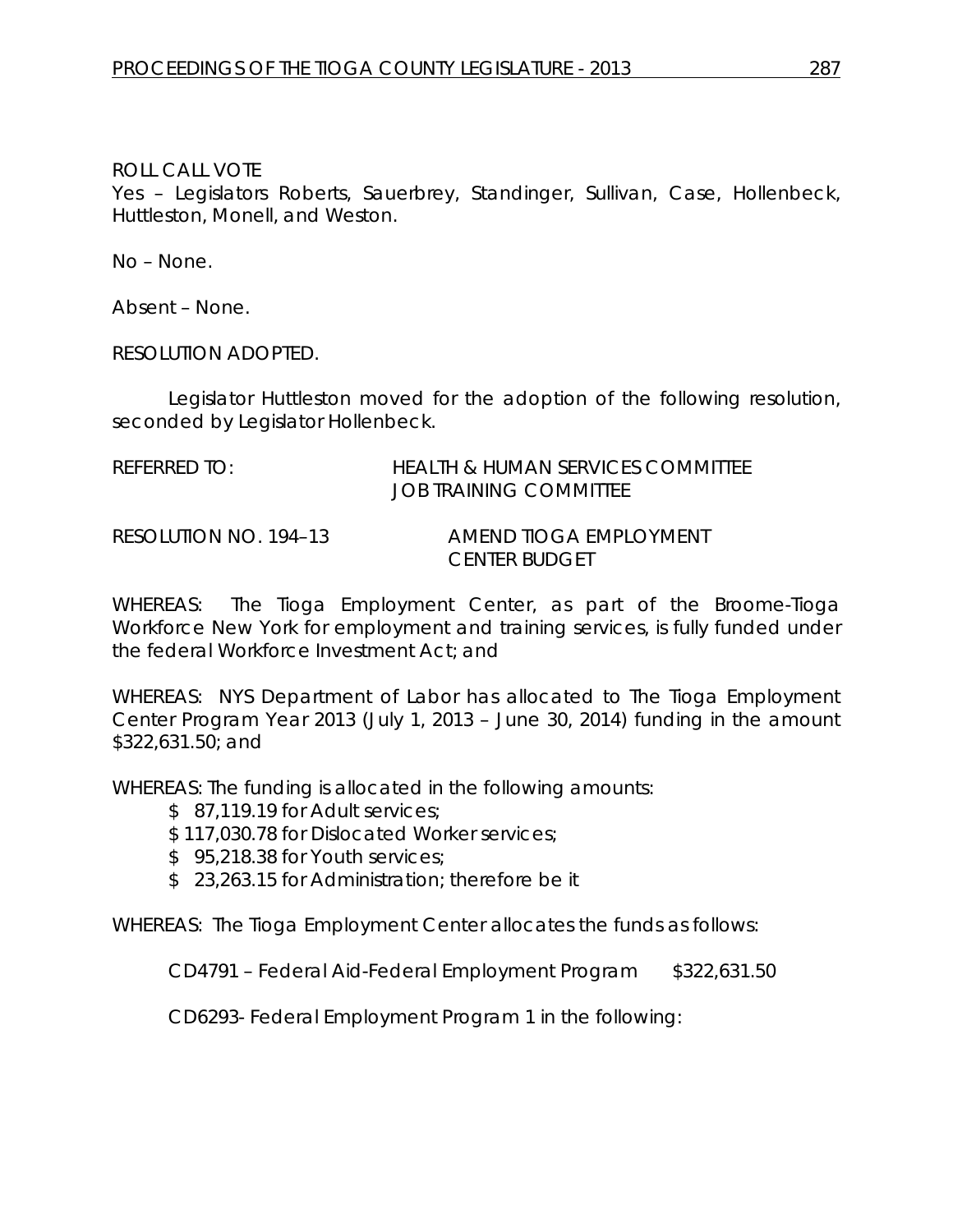Yes – Legislators Roberts, Sauerbrey, Standinger, Sullivan, Case, Hollenbeck, Huttleston, Monell, and Weston.

No – None.

Absent – None.

RESOLUTION ADOPTED.

Legislator Huttleston moved for the adoption of the following resolution, seconded by Legislator Hollenbeck.

| referred to: | HEALTH & HUMAN SERVICES COMMITTEE |
|--------------|-----------------------------------|
|              | JOB TRAINING COMMITTEE            |

RESOLUTION NO. 194–13 *AMEND TIOGA EMPLOYMENT CENTER BUDGET*

WHEREAS: The Tioga Employment Center, as part of the Broome-Tioga Workforce New York for employment and training services, is fully funded under the federal Workforce Investment Act; and

WHEREAS: NYS Department of Labor has allocated to The Tioga Employment Center Program Year 2013 (July 1, 2013 – June 30, 2014) funding in the amount \$322,631.50; and

WHEREAS: The funding is allocated in the following amounts:

\$87,119,19 for Adult services;

\$ 117,030.78 for Dislocated Worker services;

- \$95,218,38 for Youth services;
- \$ 23,263.15 for Administration; therefore be it

WHEREAS: The Tioga Employment Center allocates the funds as follows:

CD4791 – Federal Aid-Federal Employment Program \$322,631.50

CD6293- Federal Employment Program 1 in the following: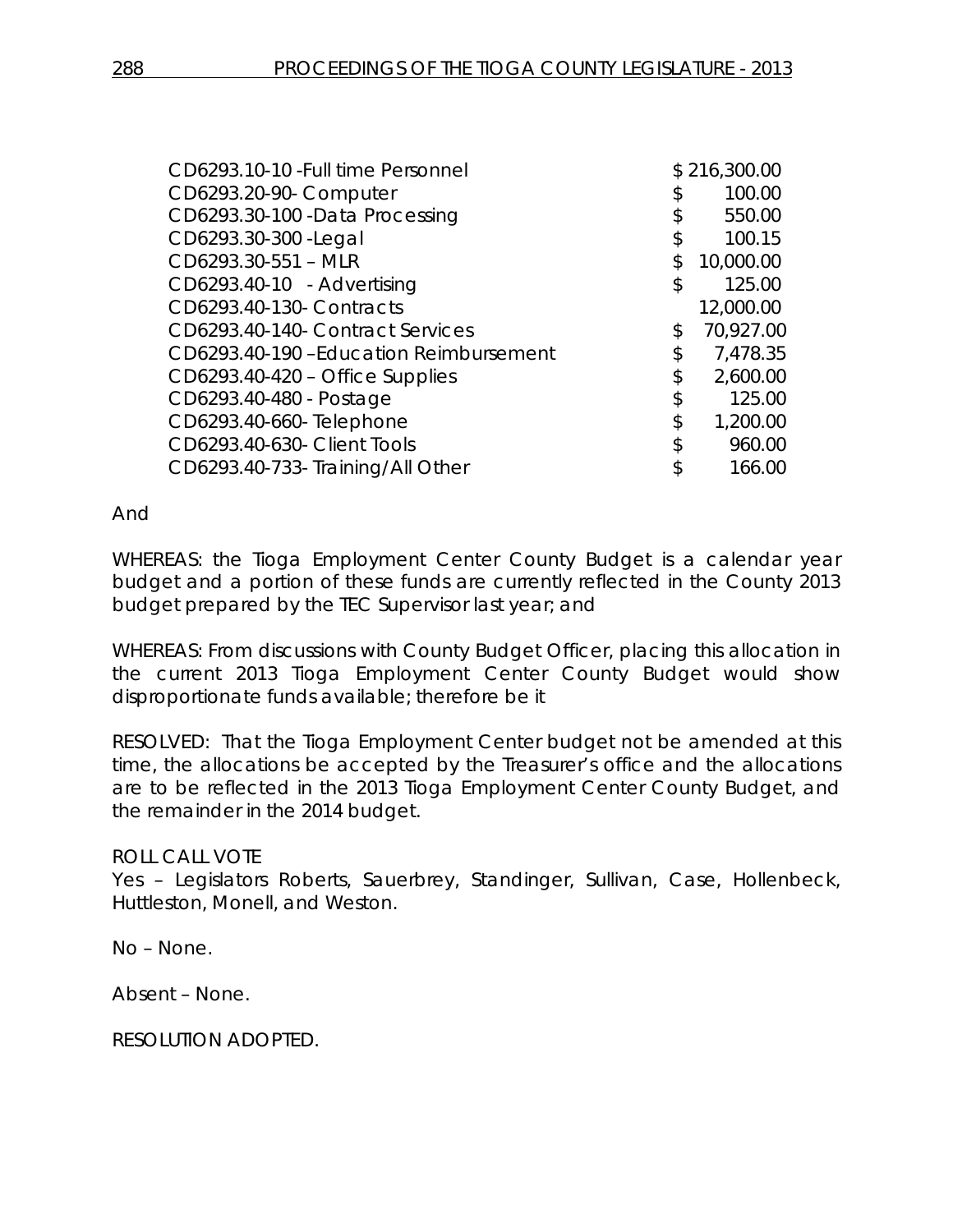| CD6293.10-10 - Full time Personnel     |               | \$216,300.00 |
|----------------------------------------|---------------|--------------|
| CD6293.20-90- Computer                 | \$            | 100.00       |
| CD6293.30-100 -Data Processing         | \$            | 550.00       |
| CD6293.30-300 - Legal                  | $\frac{1}{2}$ | 100.15       |
| CD6293.30-551 - MLR                    | \$            | 10,000.00    |
| CD6293.40-10 - Advertising             | \$            | 125.00       |
| CD6293.40-130- Contracts               |               | 12,000.00    |
| CD6293.40-140- Contract Services       | \$            | 70,927.00    |
| CD6293.40-190 -Education Reimbursement | \$            | 7,478.35     |
| CD6293.40-420 - Office Supplies        | \$            | 2,600.00     |
| CD6293.40-480 - Postage                | \$            | 125.00       |
| CD6293.40-660- Telephone               | \$            | 1,200.00     |
| CD6293.40-630- Client Tools            | \$            | 960.00       |
| CD6293.40-733-Training/All Other       | \$            | 166.00       |
|                                        |               |              |

### And

WHEREAS: the Tioga Employment Center County Budget is a calendar year budget and a portion of these funds are currently reflected in the County 2013 budget prepared by the TEC Supervisor last year; and

WHEREAS: From discussions with County Budget Officer, placing this allocation in the current 2013 Tioga Employment Center County Budget would show disproportionate funds available; therefore be it

RESOLVED: That the Tioga Employment Center budget not be amended at this time, the allocations be accepted by the Treasurer's office and the allocations are to be reflected in the 2013 Tioga Employment Center County Budget, and the remainder in the 2014 budget.

# ROLL CALL VOTE

Yes – Legislators Roberts, Sauerbrey, Standinger, Sullivan, Case, Hollenbeck, Huttleston, Monell, and Weston.

No – None.

Absent – None.

RESOLUTION ADOPTED.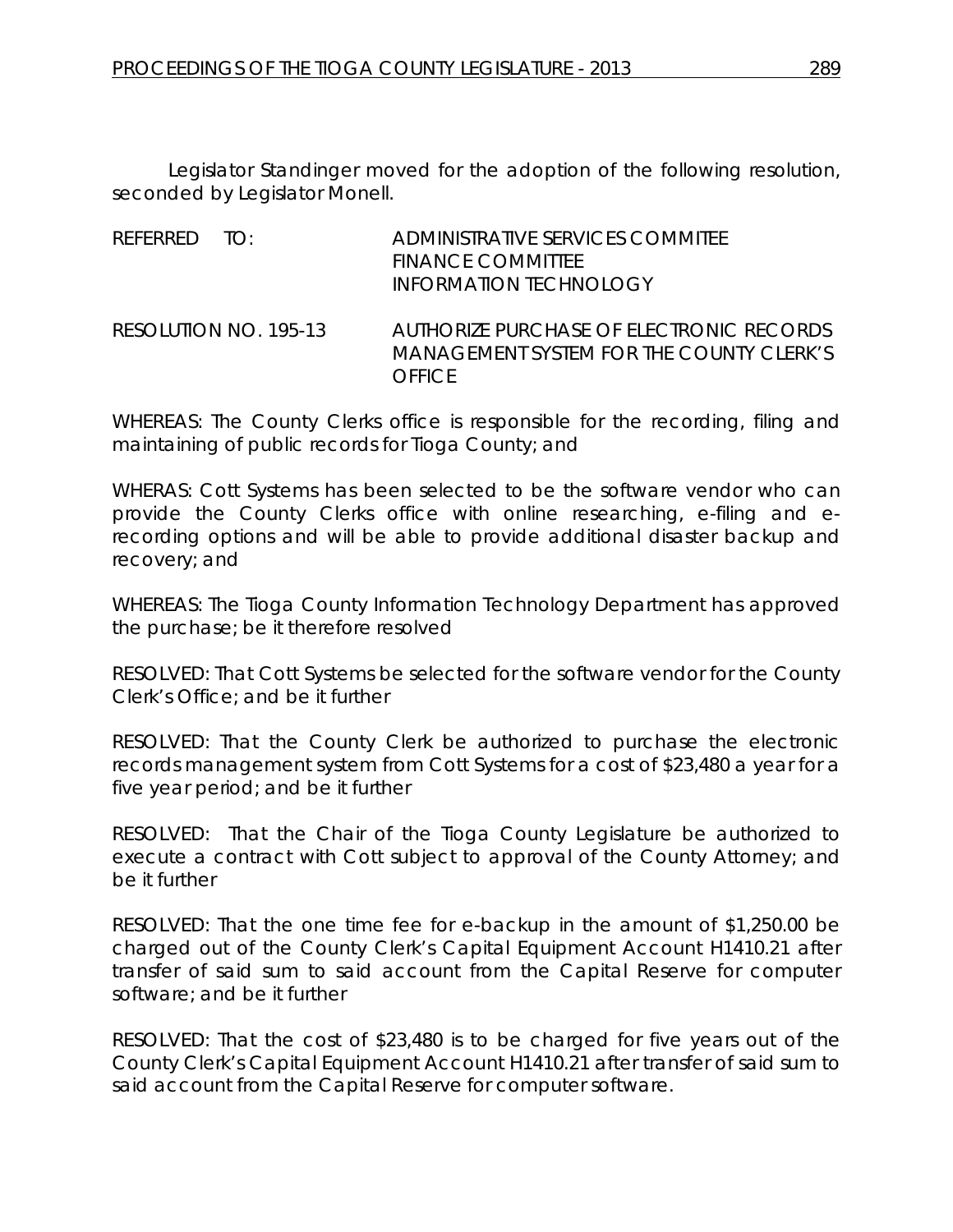Legislator Standinger moved for the adoption of the following resolution, seconded by Legislator Monell.

REFERRED TO: ADMINISTRATIVE SERVICES COMMITEE FINANCE COMMITTEE INFORMATION TECHNOLOGY

RESOLUTION NO. 195-13 *AUTHORIZE PURCHASE OF ELECTRONIC RECORDS MANAGEMENT SYSTEM FOR THE COUNTY CLERK'S OFFICE*

WHEREAS: The County Clerks office is responsible for the recording, filing and maintaining of public records for Tioga County; and

WHERAS: Cott Systems has been selected to be the software vendor who can provide the County Clerks office with online researching, e-filing and erecording options and will be able to provide additional disaster backup and recovery; and

WHEREAS: The Tioga County Information Technology Department has approved the purchase; be it therefore resolved

RESOLVED: That Cott Systems be selected for the software vendor for the County Clerk's Office; and be it further

RESOLVED: That the County Clerk be authorized to purchase the electronic records management system from Cott Systems for a cost of \$23,480 a year for a five year period; and be it further

RESOLVED: That the Chair of the Tioga County Legislature be authorized to execute a contract with Cott subject to approval of the County Attorney; and be it further

RESOLVED: That the one time fee for e-backup in the amount of \$1,250.00 be charged out of the County Clerk's Capital Equipment Account H1410.21 after transfer of said sum to said account from the Capital Reserve for computer software; and be it further

RESOLVED: That the cost of \$23,480 is to be charged for five years out of the County Clerk's Capital Equipment Account H1410.21 after transfer of said sum to said account from the Capital Reserve for computer software.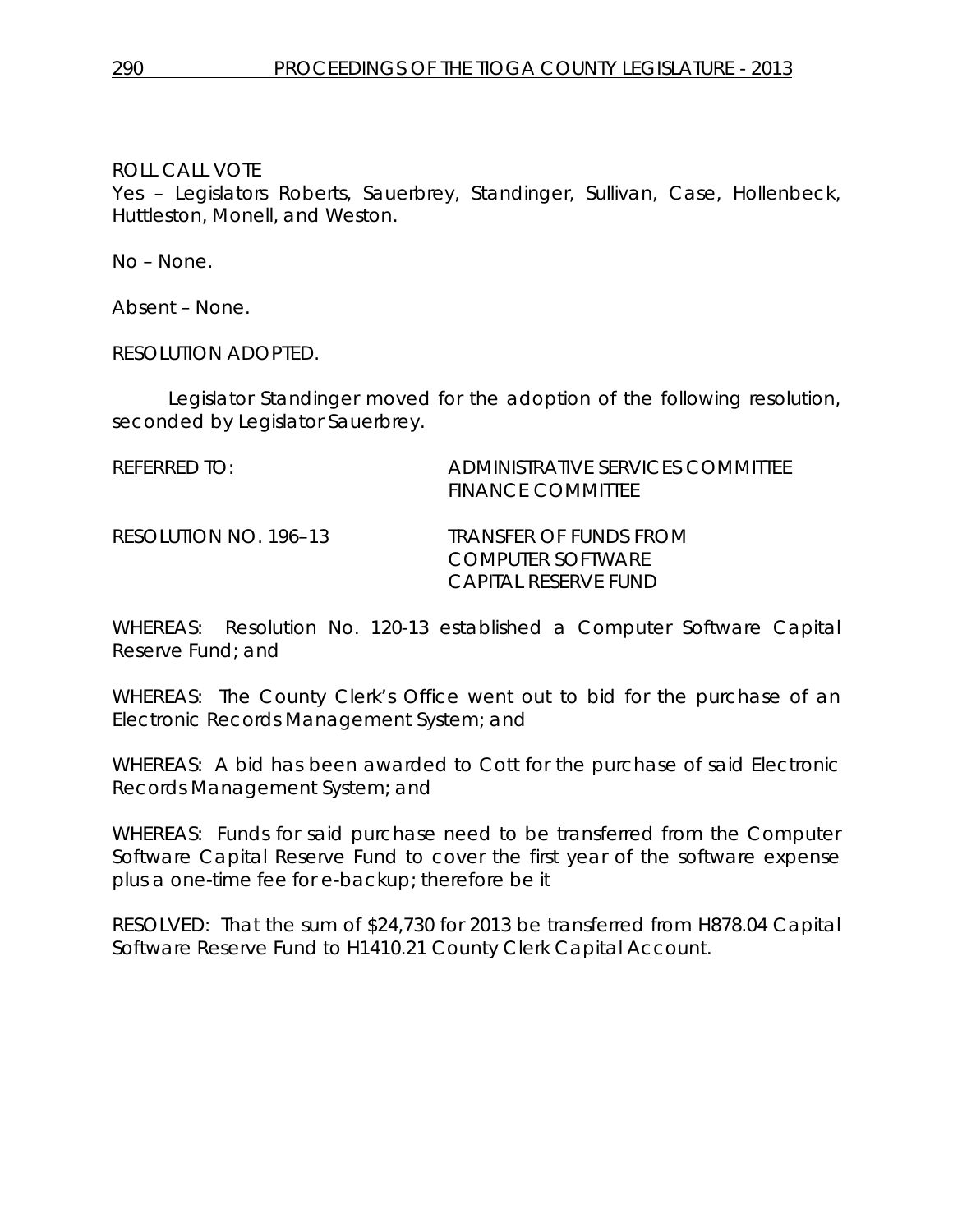Yes – Legislators Roberts, Sauerbrey, Standinger, Sullivan, Case, Hollenbeck, Huttleston, Monell, and Weston.

No – None.

Absent – None.

RESOLUTION ADOPTED.

Legislator Standinger moved for the adoption of the following resolution, seconded by Legislator Sauerbrey.

REFERRED TO: ADMINISTRATIVE SERVICES COMMITTEE FINANCE COMMITTEE RESOLUTION NO. 196–13 *TRANSFER OF FUNDS FROM COMPUTER SOFTWARE CAPITAL RESERVE FUND*

WHEREAS: Resolution No. 120-13 established a Computer Software Capital Reserve Fund; and

WHEREAS: The County Clerk's Office went out to bid for the purchase of an Electronic Records Management System; and

WHEREAS: A bid has been awarded to Cott for the purchase of said Electronic Records Management System; and

WHEREAS: Funds for said purchase need to be transferred from the Computer Software Capital Reserve Fund to cover the first year of the software expense plus a one-time fee for e-backup; therefore be it

RESOLVED: That the sum of \$24,730 for 2013 be transferred from H878.04 Capital Software Reserve Fund to H1410.21 County Clerk Capital Account.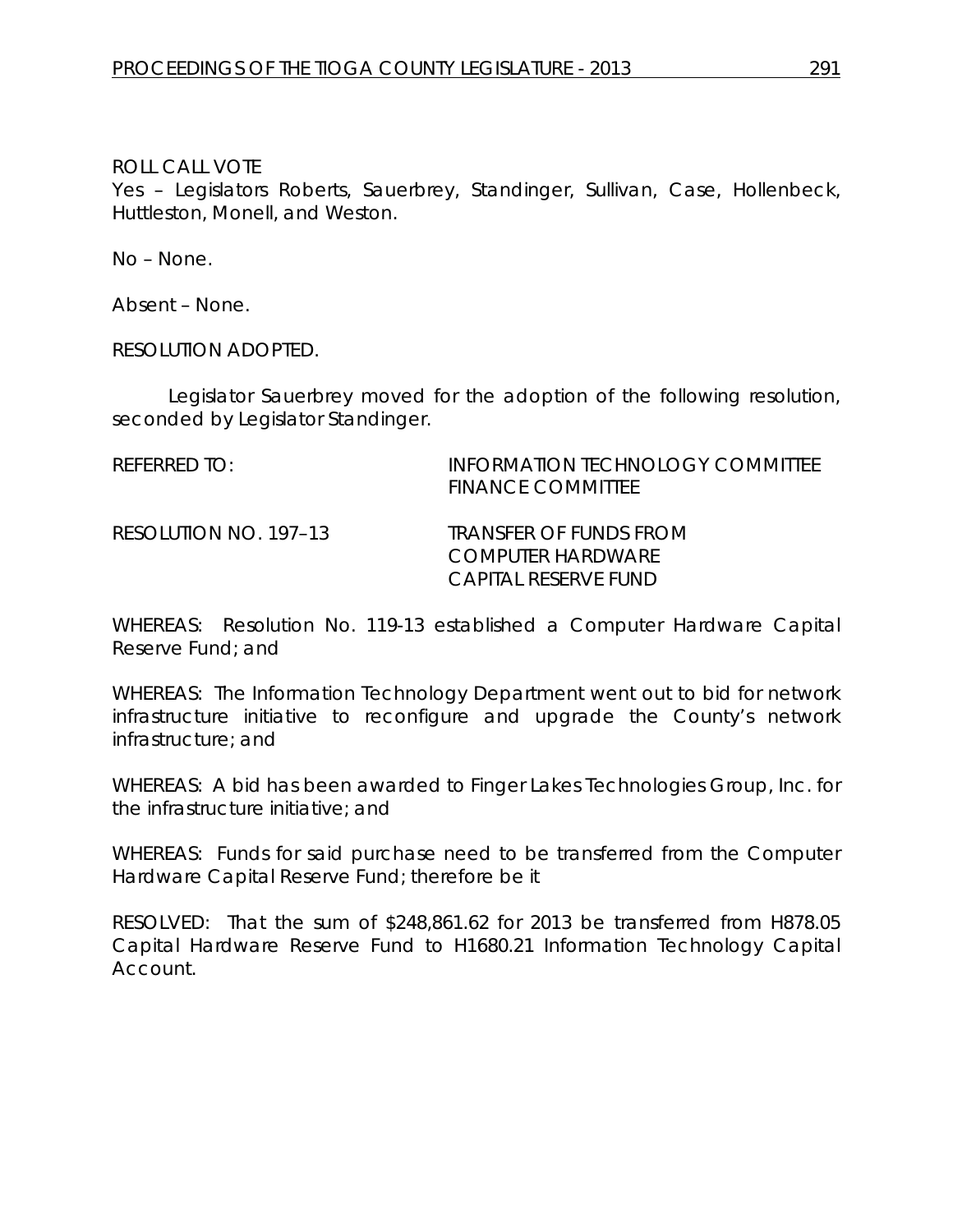Yes – Legislators Roberts, Sauerbrey, Standinger, Sullivan, Case, Hollenbeck, Huttleston, Monell, and Weston.

No – None.

Absent – None.

RESOLUTION ADOPTED.

Legislator Sauerbrey moved for the adoption of the following resolution, seconded by Legislator Standinger.

REFERRED TO: INFORMATION TECHNOLOGY COMMITTEE FINANCE COMMITTEE

RESOLUTION NO. 197–13 *TRANSFER OF FUNDS FROM COMPUTER HARDWARE CAPITAL RESERVE FUND*

WHEREAS: Resolution No. 119-13 established a Computer Hardware Capital Reserve Fund; and

WHEREAS: The Information Technology Department went out to bid for network infrastructure initiative to reconfigure and upgrade the County's network infrastructure; and

WHEREAS: A bid has been awarded to Finger Lakes Technologies Group, Inc. for the infrastructure initiative; and

WHEREAS: Funds for said purchase need to be transferred from the Computer Hardware Capital Reserve Fund; therefore be it

RESOLVED: That the sum of \$248,861.62 for 2013 be transferred from H878.05 Capital Hardware Reserve Fund to H1680.21 Information Technology Capital Account.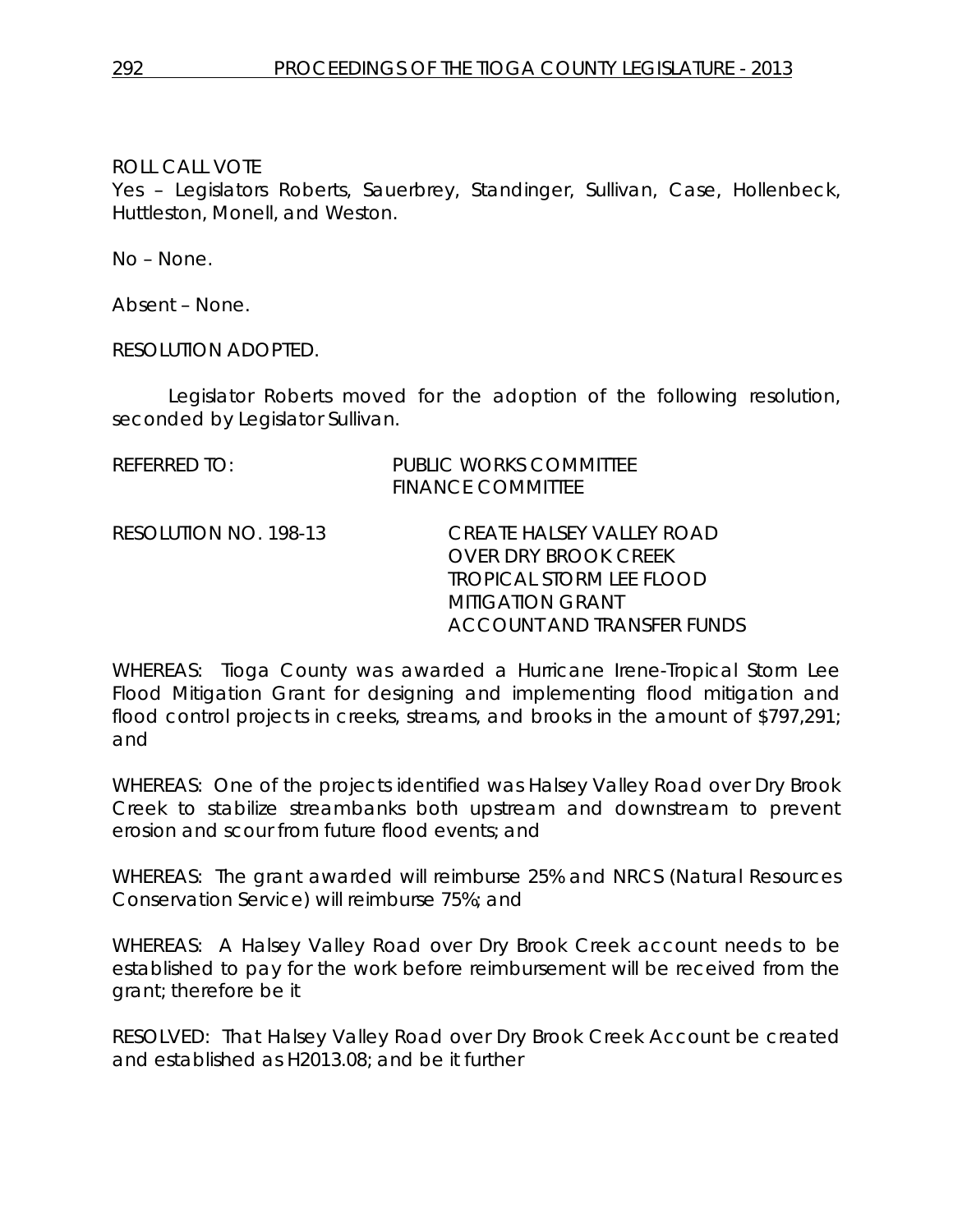Yes – Legislators Roberts, Sauerbrey, Standinger, Sullivan, Case, Hollenbeck, Huttleston, Monell, and Weston.

No – None.

Absent – None.

RESOLUTION ADOPTED.

Legislator Roberts moved for the adoption of the following resolution, seconded by Legislator Sullivan.

| referred to: | <b>PUBLIC WORKS COMMITTEE</b> |
|--------------|-------------------------------|
|              | <b>FINANCE COMMITTEE</b>      |

RESOLUTION NO. 198-13 *CREATE HALSEY VALLEY ROAD OVER DRY BROOK CREEK TROPICAL STORM LEE FLOOD MITIGATION GRANT ACCOUNT AND TRANSFER FUNDS*

WHEREAS: Tioga County was awarded a Hurricane Irene-Tropical Storm Lee Flood Mitigation Grant for designing and implementing flood mitigation and flood control projects in creeks, streams, and brooks in the amount of \$797,291; and

WHEREAS: One of the projects identified was Halsey Valley Road over Dry Brook Creek to stabilize streambanks both upstream and downstream to prevent erosion and scour from future flood events; and

WHEREAS: The grant awarded will reimburse 25% and NRCS (Natural Resources Conservation Service) will reimburse 75%; and

WHEREAS: A Halsey Valley Road over Dry Brook Creek account needs to be established to pay for the work before reimbursement will be received from the grant; therefore be it

RESOLVED: That Halsey Valley Road over Dry Brook Creek Account be created and established as H2013.08; and be it further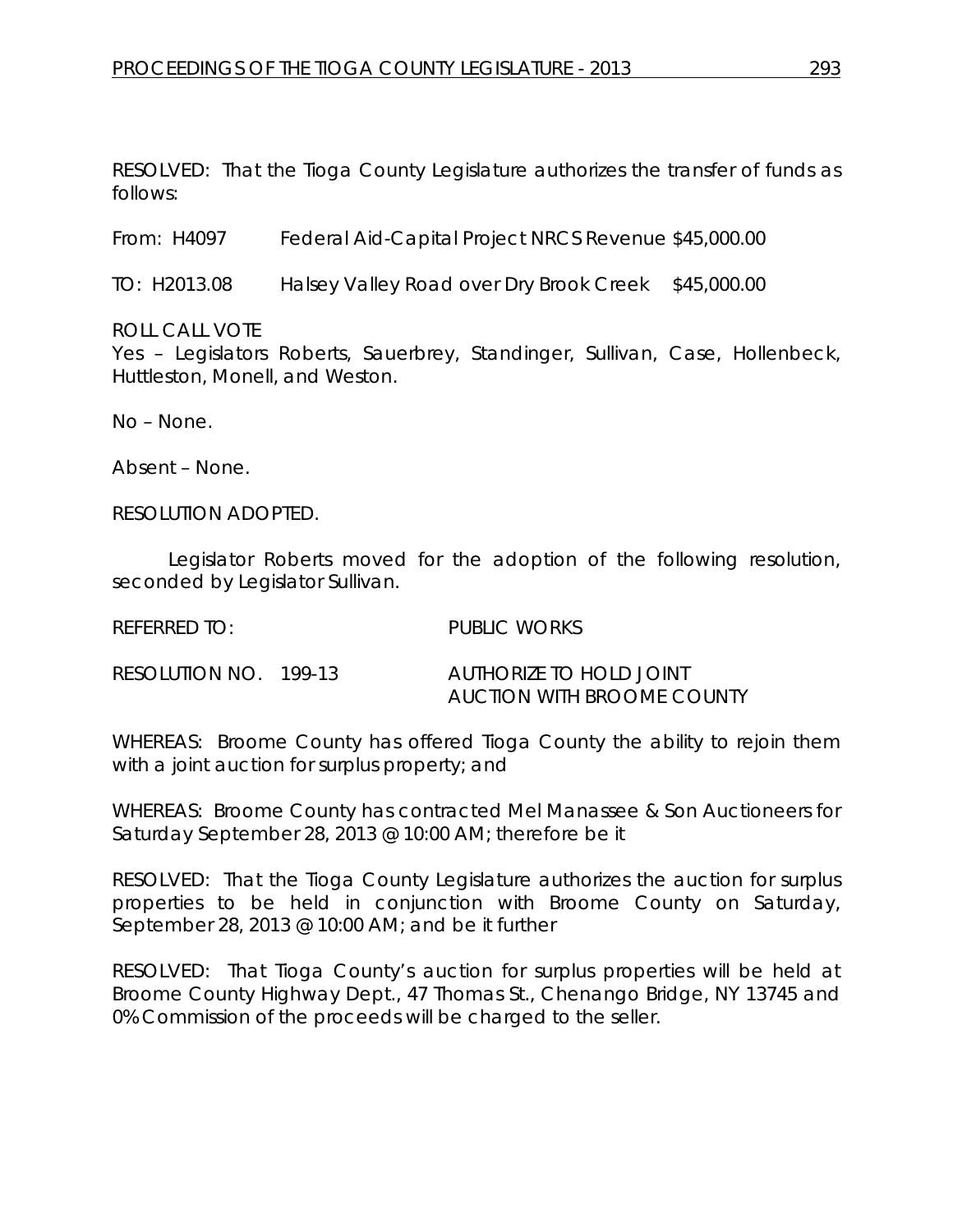RESOLVED: That the Tioga County Legislature authorizes the transfer of funds as follows:

From: H4097 Federal Aid-Capital Project NRCS Revenue \$45,000.00

TO: H2013.08 Halsey Valley Road over Dry Brook Creek \$45,000.00

ROLL CALL VOTE

Yes – Legislators Roberts, Sauerbrey, Standinger, Sullivan, Case, Hollenbeck, Huttleston, Monell, and Weston.

No – None.

Absent – None.

RESOLUTION ADOPTED.

Legislator Roberts moved for the adoption of the following resolution, seconded by Legislator Sullivan.

| REFERRED TO:          | PUBLIC WORKS                                          |
|-----------------------|-------------------------------------------------------|
| RESOLUTION NO. 199-13 | AUTHORIZE TO HOLD JOINT<br>AUCTION WITH BROOME COUNTY |

WHEREAS: Broome County has offered Tioga County the ability to rejoin them with a joint auction for surplus property; and

WHEREAS: Broome County has contracted Mel Manassee & Son Auctioneers for Saturday September 28, 2013 @ 10:00 AM; therefore be it

RESOLVED: That the Tioga County Legislature authorizes the auction for surplus properties to be held in conjunction with Broome County on Saturday, September 28, 2013 @ 10:00 AM; and be it further

RESOLVED: That Tioga County's auction for surplus properties will be held at Broome County Highway Dept., 47 Thomas St., Chenango Bridge, NY 13745 and 0% Commission of the proceeds will be charged to the seller.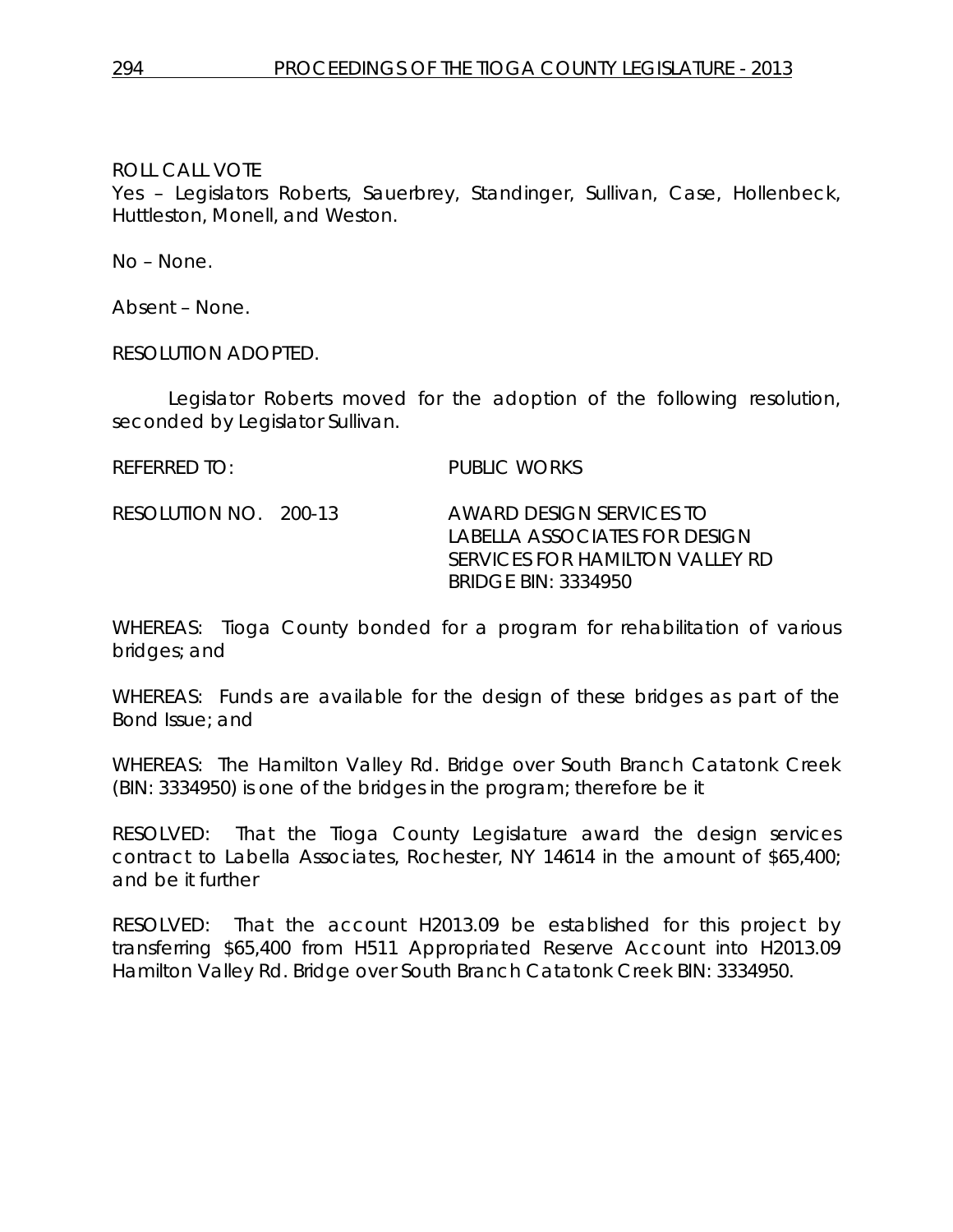Yes – Legislators Roberts, Sauerbrey, Standinger, Sullivan, Case, Hollenbeck, Huttleston, Monell, and Weston.

No – None.

Absent – None.

RESOLUTION ADOPTED.

Legislator Roberts moved for the adoption of the following resolution, seconded by Legislator Sullivan.

REFERRED TO: PUBLIC WORKS

RESOLUTION NO. 200-13 *AWARD DESIGN SERVICES TO LABELLA ASSOCIATES FOR DESIGN SERVICES FOR HAMILTON VALLEY RD BRIDGE BIN: 3334950*

WHEREAS: Tioga County bonded for a program for rehabilitation of various bridges; and

WHEREAS: Funds are available for the design of these bridges as part of the Bond Issue; and

WHEREAS: The Hamilton Valley Rd. Bridge over South Branch Catatonk Creek (BIN: 3334950) is one of the bridges in the program; therefore be it

RESOLVED: That the Tioga County Legislature award the design services contract to Labella Associates, Rochester, NY 14614 in the amount of \$65,400; and be it further

RESOLVED: That the account H2013.09 be established for this project by transferring \$65,400 from H511 Appropriated Reserve Account into H2013.09 Hamilton Valley Rd. Bridge over South Branch Catatonk Creek BIN: 3334950.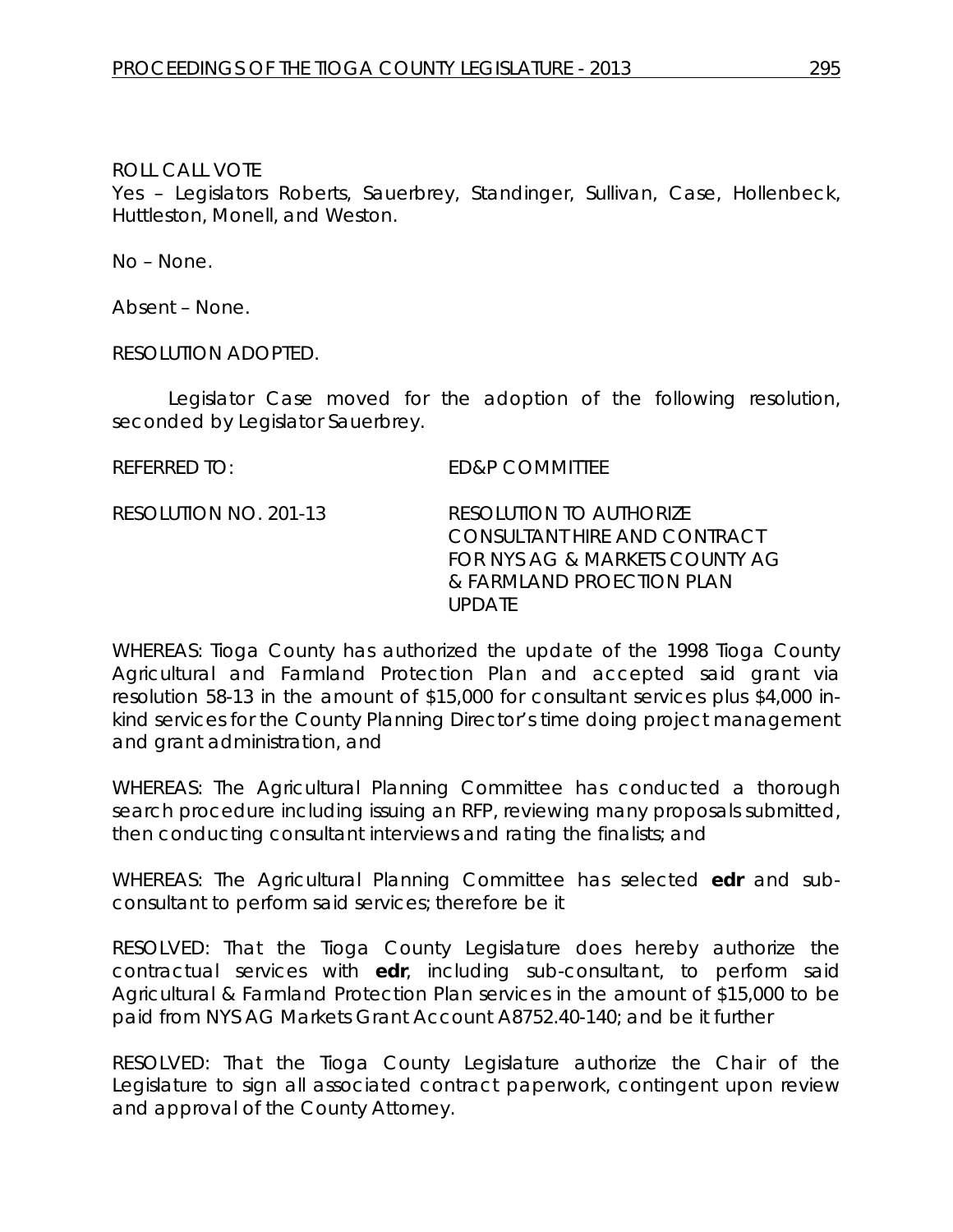Yes – Legislators Roberts, Sauerbrey, Standinger, Sullivan, Case, Hollenbeck, Huttleston, Monell, and Weston.

No – None.

Absent – None.

RESOLUTION ADOPTED.

Legislator Case moved for the adoption of the following resolution, seconded by Legislator Sauerbrey.

REFERRED TO: ED&P COMMITTEE

RESOLUTION NO. 201-13 *RESOLUTION TO AUTHORIZE CONSULTANT HIRE AND CONTRACT FOR NYS AG & MARKETS COUNTY AG & FARMLAND PROECTION PLAN UPDATE*

WHEREAS: Tioga County has authorized the update of the 1998 Tioga County Agricultural and Farmland Protection Plan and accepted said grant via resolution 58-13 in the amount of \$15,000 for consultant services plus \$4,000 inkind services for the County Planning Director's time doing project management and grant administration, and

WHEREAS: The Agricultural Planning Committee has conducted a thorough search procedure including issuing an RFP, reviewing many proposals submitted, then conducting consultant interviews and rating the finalists; and

WHEREAS: The Agricultural Planning Committee has selected **edr** and subconsultant to perform said services; therefore be it

RESOLVED: That the Tioga County Legislature does hereby authorize the contractual services with **edr**, including sub-consultant, to perform said Agricultural & Farmland Protection Plan services in the amount of \$15,000 to be paid from NYS AG Markets Grant Account A8752.40-140; and be it further

RESOLVED: That the Tioga County Legislature authorize the Chair of the Legislature to sign all associated contract paperwork, contingent upon review and approval of the County Attorney.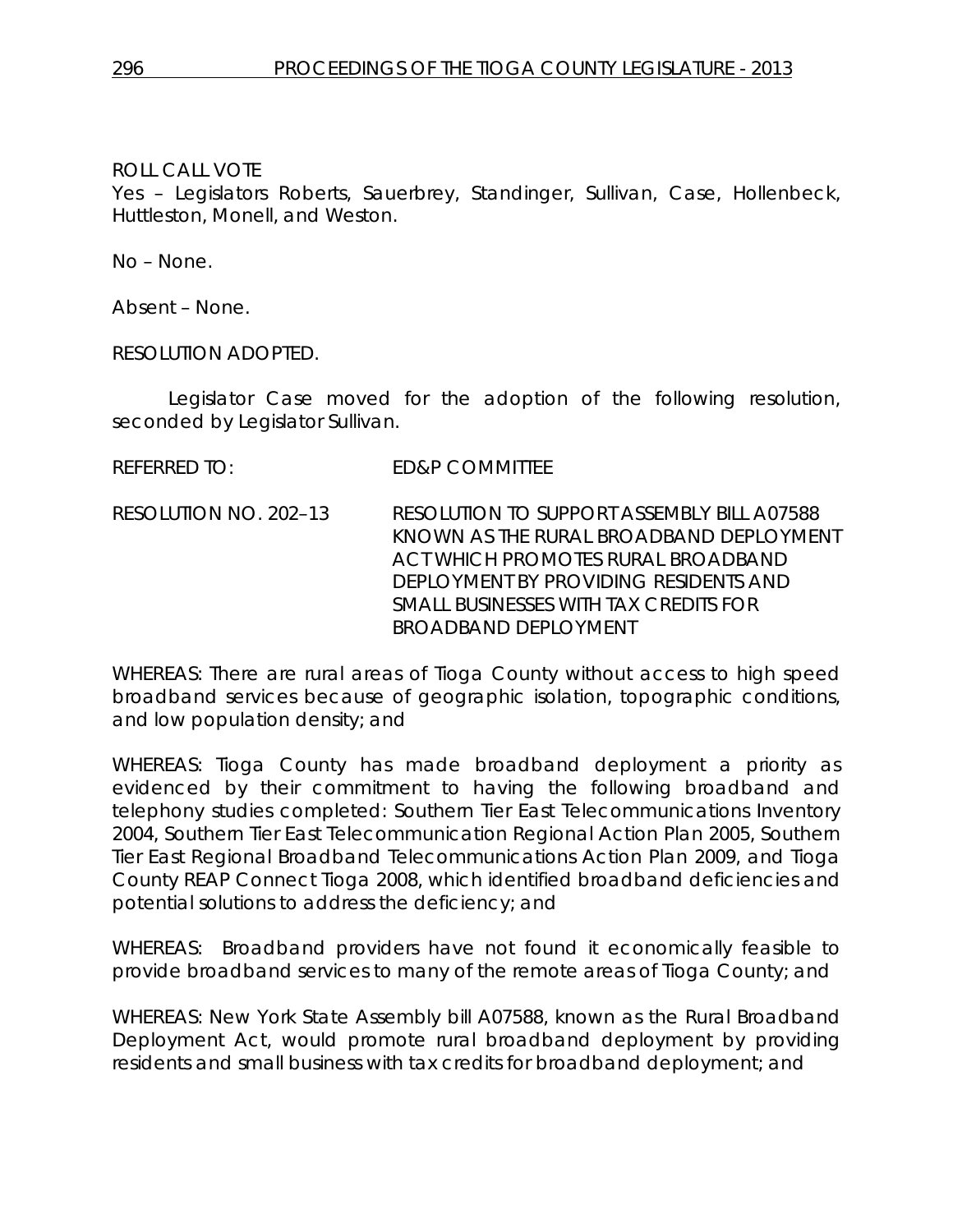Yes – Legislators Roberts, Sauerbrey, Standinger, Sullivan, Case, Hollenbeck, Huttleston, Monell, and Weston.

No – None.

Absent – None.

RESOLUTION ADOPTED.

Legislator Case moved for the adoption of the following resolution, seconded by Legislator Sullivan.

REFERRED TO: ED&P COMMITTEE

RESOLUTION NO. 202–13 *RESOLUTION TO SUPPORT ASSEMBLY BILL A07588 KNOWN AS THE RURAL BROADBAND DEPLOYMENT ACT WHICH PROMOTES RURAL BROADBAND DEPLOYMENT BY PROVIDING RESIDENTS AND SMALL BUSINESSES WITH TAX CREDITS FOR BROADBAND DEPLOYMENT*

WHEREAS: There are rural areas of Tioga County without access to high speed broadband services because of geographic isolation, topographic conditions, and low population density; and

WHEREAS: Tioga County has made broadband deployment a priority as evidenced by their commitment to having the following broadband and telephony studies completed: Southern Tier East Telecommunications Inventory 2004, Southern Tier East Telecommunication Regional Action Plan 2005, Southern Tier East Regional Broadband Telecommunications Action Plan 2009, and Tioga County REAP Connect Tioga 2008, which identified broadband deficiencies and potential solutions to address the deficiency; and

WHEREAS: Broadband providers have not found it economically feasible to provide broadband services to many of the remote areas of Tioga County; and

WHEREAS: New York State Assembly bill A07588, known as the Rural Broadband Deployment Act, would promote rural broadband deployment by providing residents and small business with tax credits for broadband deployment; and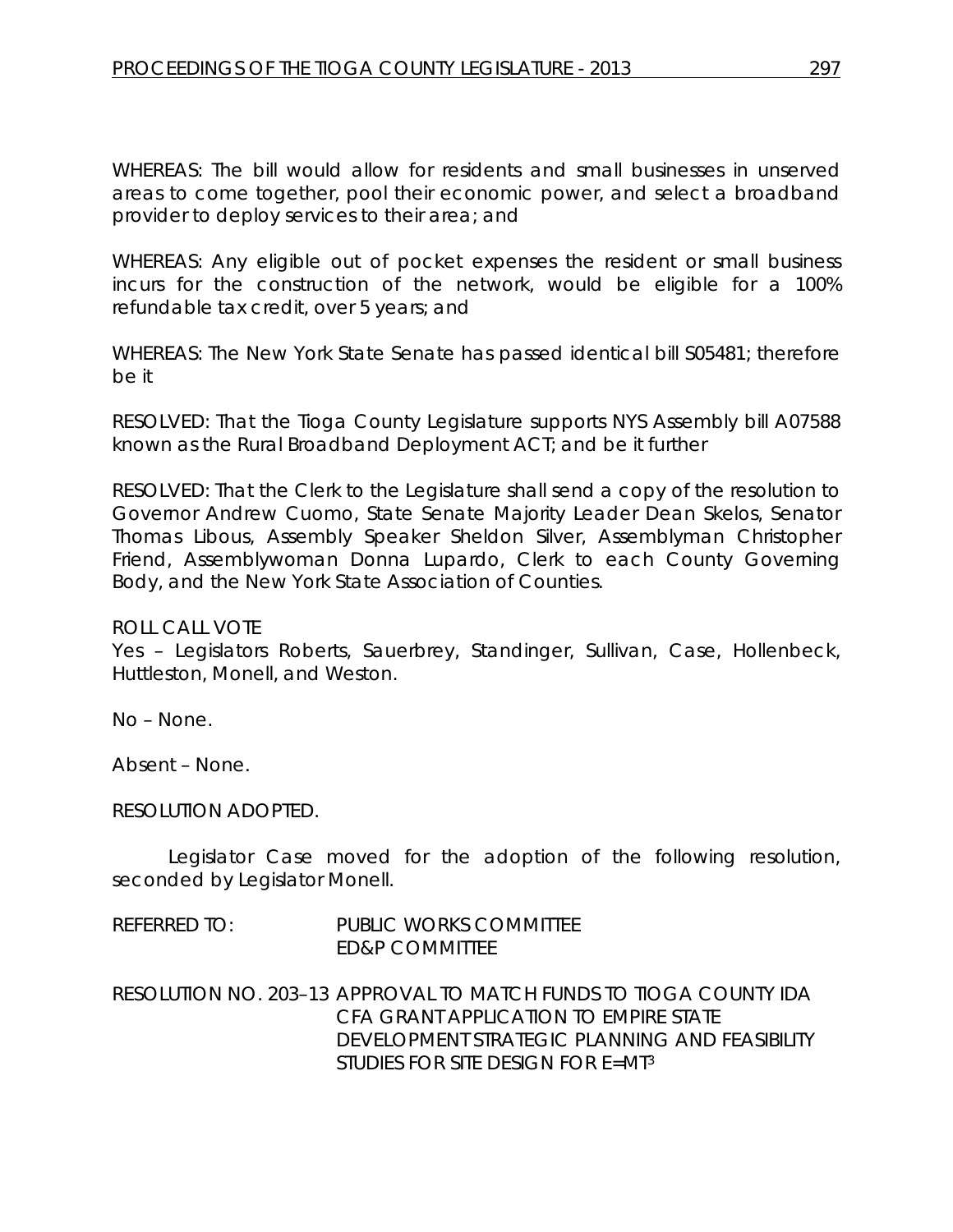WHEREAS: The bill would allow for residents and small businesses in unserved areas to come together, pool their economic power, and select a broadband provider to deploy services to their area; and

WHEREAS: Any eligible out of pocket expenses the resident or small business incurs for the construction of the network, would be eligible for a 100% refundable tax credit, over 5 years; and

WHEREAS: The New York State Senate has passed identical bill S05481; therefore be it

RESOLVED: That the Tioga County Legislature supports NYS Assembly bill A07588 known as the Rural Broadband Deployment ACT; and be it further

RESOLVED: That the Clerk to the Legislature shall send a copy of the resolution to Governor Andrew Cuomo, State Senate Majority Leader Dean Skelos, Senator Thomas Libous, Assembly Speaker Sheldon Silver, Assemblyman Christopher Friend, Assemblywoman Donna Lupardo, Clerk to each County Governing Body, and the New York State Association of Counties.

ROLL CALL VOTE

Yes – Legislators Roberts, Sauerbrey, Standinger, Sullivan, Case, Hollenbeck, Huttleston, Monell, and Weston.

No – None.

Absent – None.

RESOLUTION ADOPTED.

Legislator Case moved for the adoption of the following resolution, seconded by Legislator Monell.

| REFERRED TO: | <b>PUBLIC WORKS COMMITTEE</b><br>ED&P COMMITTEE                                                                                                                                                      |
|--------------|------------------------------------------------------------------------------------------------------------------------------------------------------------------------------------------------------|
|              | RESOLUTION NO. 203–13 APPROVAL TO MATCH FUNDS TO TIOGA COUNTY IDA<br>CFA GRANT APPLICATION TO EMPIRE STATE<br>DEVELOPMENT STRATEGIC PLANNING AND FEASIBILITY<br>STUDIES FOR SITE DESIGN FOR $E=MI^3$ |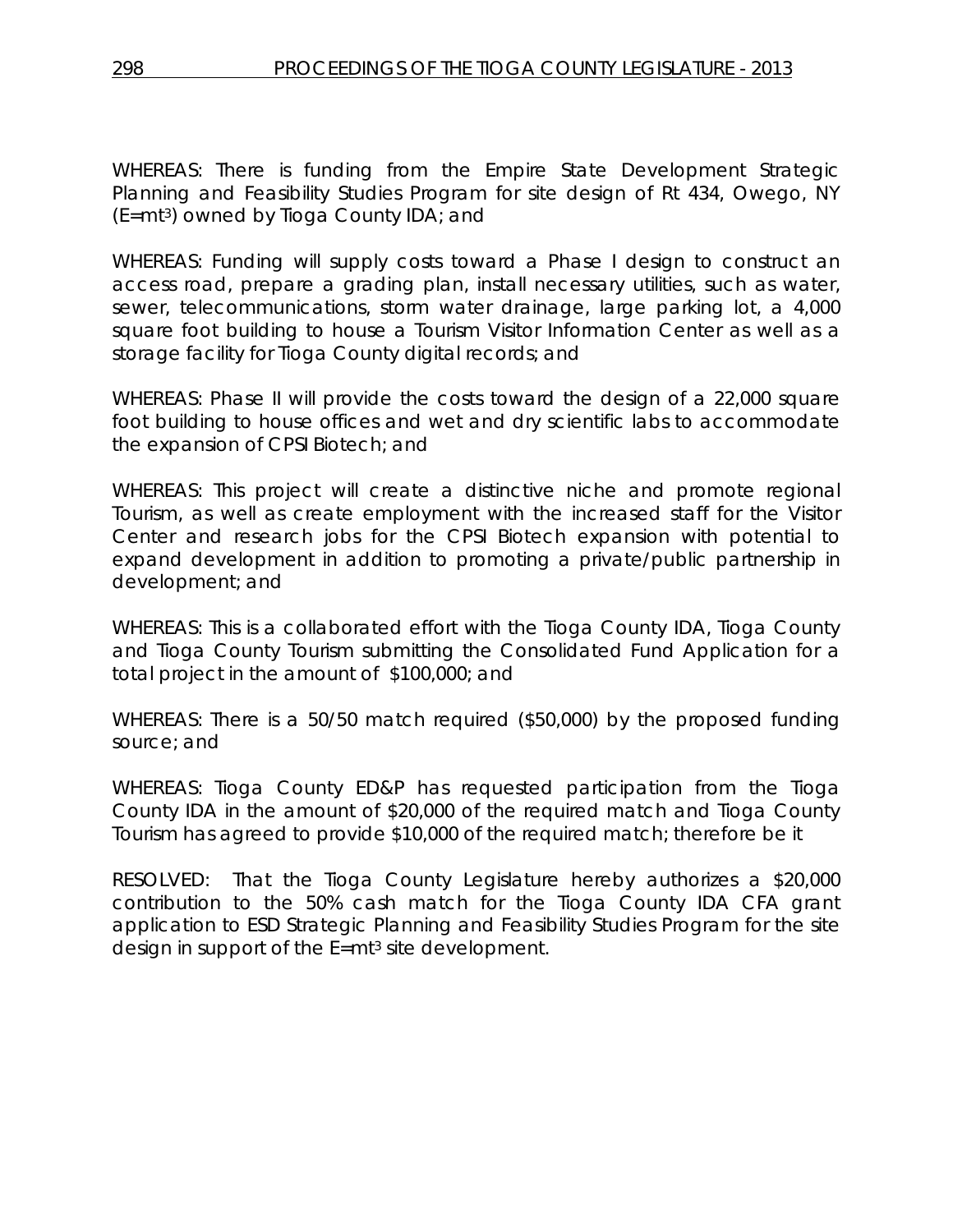WHEREAS: There is funding from the Empire State Development Strategic Planning and Feasibility Studies Program for site design of Rt 434, Owego, NY (E=mt3) owned by Tioga County IDA; and

WHEREAS: Funding will supply costs toward a Phase I design to construct an access road, prepare a grading plan, install necessary utilities, such as water, sewer, telecommunications, storm water drainage, large parking lot, a 4,000 square foot building to house a Tourism Visitor Information Center as well as a storage facility for Tioga County digital records; and

WHEREAS: Phase II will provide the costs toward the design of a 22,000 square foot building to house offices and wet and dry scientific labs to accommodate the expansion of CPSI Biotech; and

WHEREAS: This project will create a distinctive niche and promote regional Tourism, as well as create employment with the increased staff for the Visitor Center and research jobs for the CPSI Biotech expansion with potential to expand development in addition to promoting a private/public partnership in development; and

WHEREAS: This is a collaborated effort with the Tioga County IDA, Tioga County and Tioga County Tourism submitting the Consolidated Fund Application for a total project in the amount of \$100,000; and

WHEREAS: There is a 50/50 match required (\$50,000) by the proposed funding source; and

WHEREAS: Tioga County ED&P has requested participation from the Tioga County IDA in the amount of \$20,000 of the required match and Tioga County Tourism has agreed to provide \$10,000 of the required match; therefore be it

RESOLVED: That the Tioga County Legislature hereby authorizes a \$20,000 contribution to the 50% cash match for the Tioga County IDA CFA grant application to ESD Strategic Planning and Feasibility Studies Program for the site design in support of the E=mt<sup>3</sup> site development.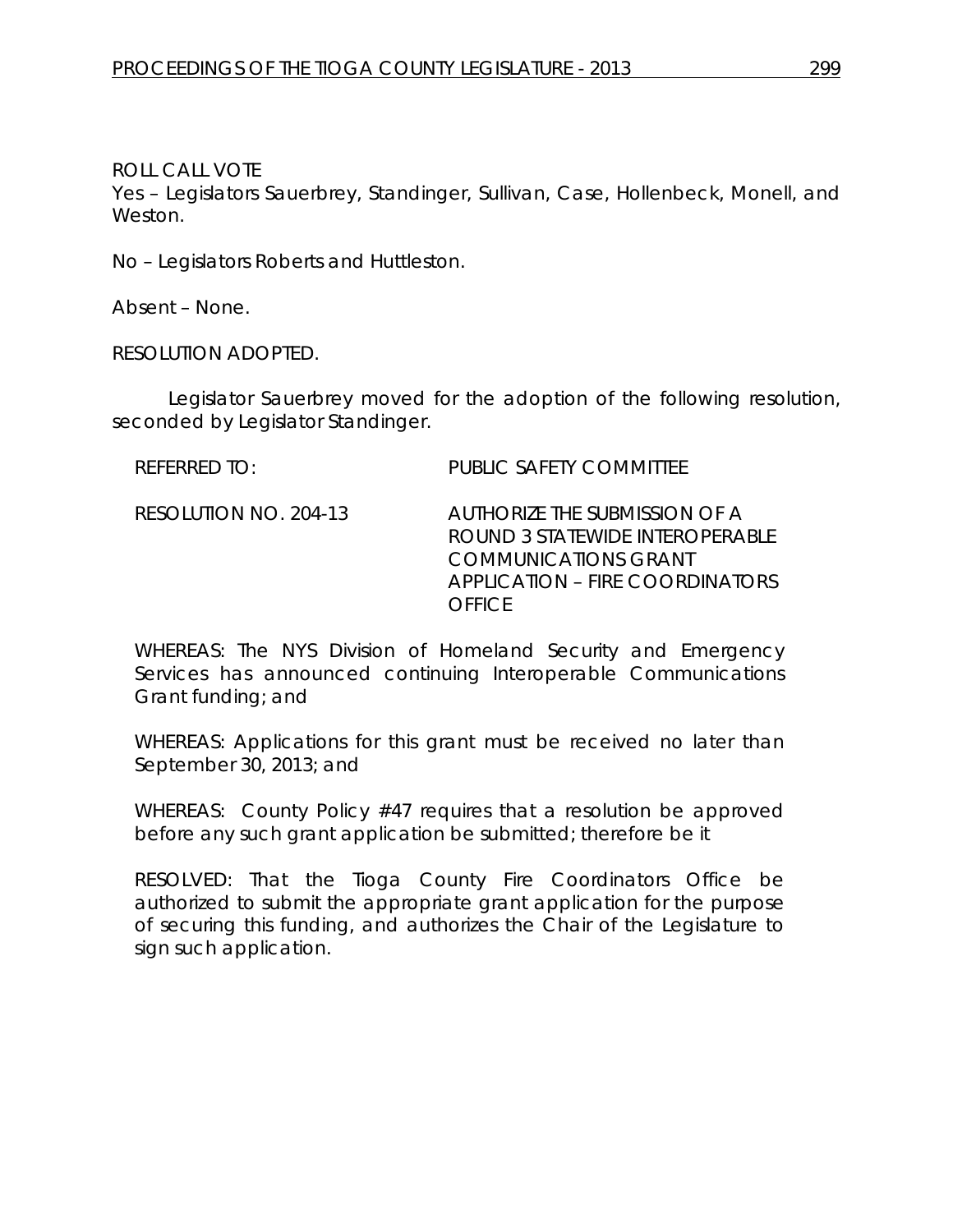Yes – Legislators Sauerbrey, Standinger, Sullivan, Case, Hollenbeck, Monell, and Weston.

No – Legislators Roberts and Huttleston.

Absent – None.

RESOLUTION ADOPTED.

Legislator Sauerbrey moved for the adoption of the following resolution, seconded by Legislator Standinger.

REFERRED TO: PUBLIC SAFETY COMMITTEE

RESOLUTION NO. 204-13 *AUTHORIZE THE SUBMISSION OF A ROUND 3 STATEWIDE INTEROPERABLE COMMUNICATIONS GRANT APPLICATION – FIRE COORDINATORS OFFICE*

WHEREAS: The NYS Division of Homeland Security and Emergency Services has announced continuing Interoperable Communications Grant funding; and

WHEREAS: Applications for this grant must be received no later than September 30, 2013; and

WHEREAS: County Policy #47 requires that a resolution be approved before any such grant application be submitted; therefore be it

RESOLVED: That the Tioga County Fire Coordinators Office be authorized to submit the appropriate grant application for the purpose of securing this funding, and authorizes the Chair of the Legislature to sign such application.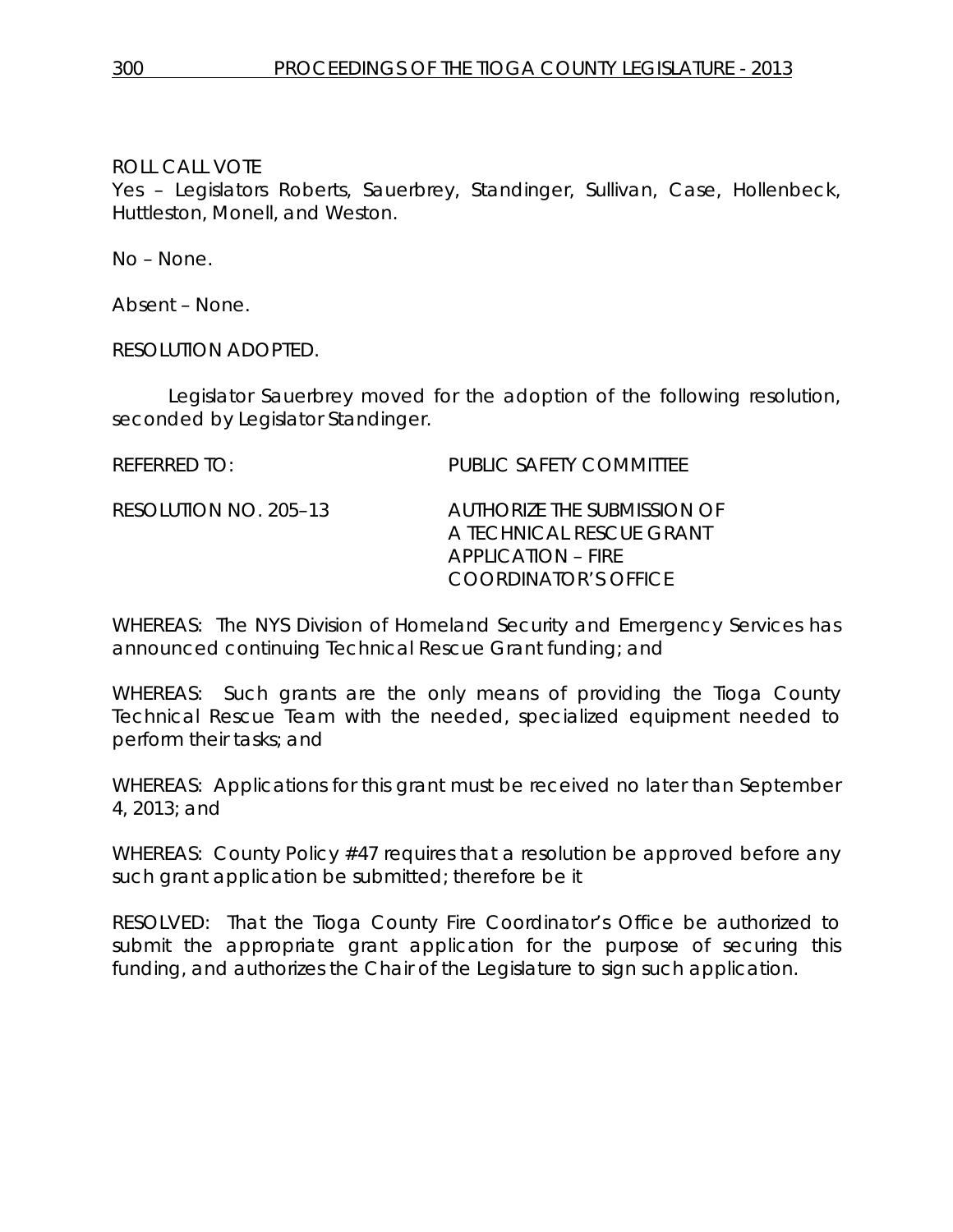Yes – Legislators Roberts, Sauerbrey, Standinger, Sullivan, Case, Hollenbeck, Huttleston, Monell, and Weston.

No – None.

Absent – None.

RESOLUTION ADOPTED.

Legislator Sauerbrey moved for the adoption of the following resolution, seconded by Legislator Standinger.

REFERRED TO: PUBLIC SAFETY COMMITTEE RESOLUTION NO. 205–13 *AUTHORIZE THE SUBMISSION OF A TECHNICAL RESCUE GRANT APPLICATION – FIRE COORDINATOR'S OFFICE*

WHEREAS: The NYS Division of Homeland Security and Emergency Services has announced continuing Technical Rescue Grant funding; and

WHEREAS: Such grants are the only means of providing the Tioga County Technical Rescue Team with the needed, specialized equipment needed to perform their tasks; and

WHEREAS: Applications for this grant must be received no later than September 4, 2013; and

WHEREAS: County Policy #47 requires that a resolution be approved before any such grant application be submitted; therefore be it

RESOLVED: That the Tioga County Fire Coordinator's Office be authorized to submit the appropriate grant application for the purpose of securing this funding, and authorizes the Chair of the Legislature to sign such application.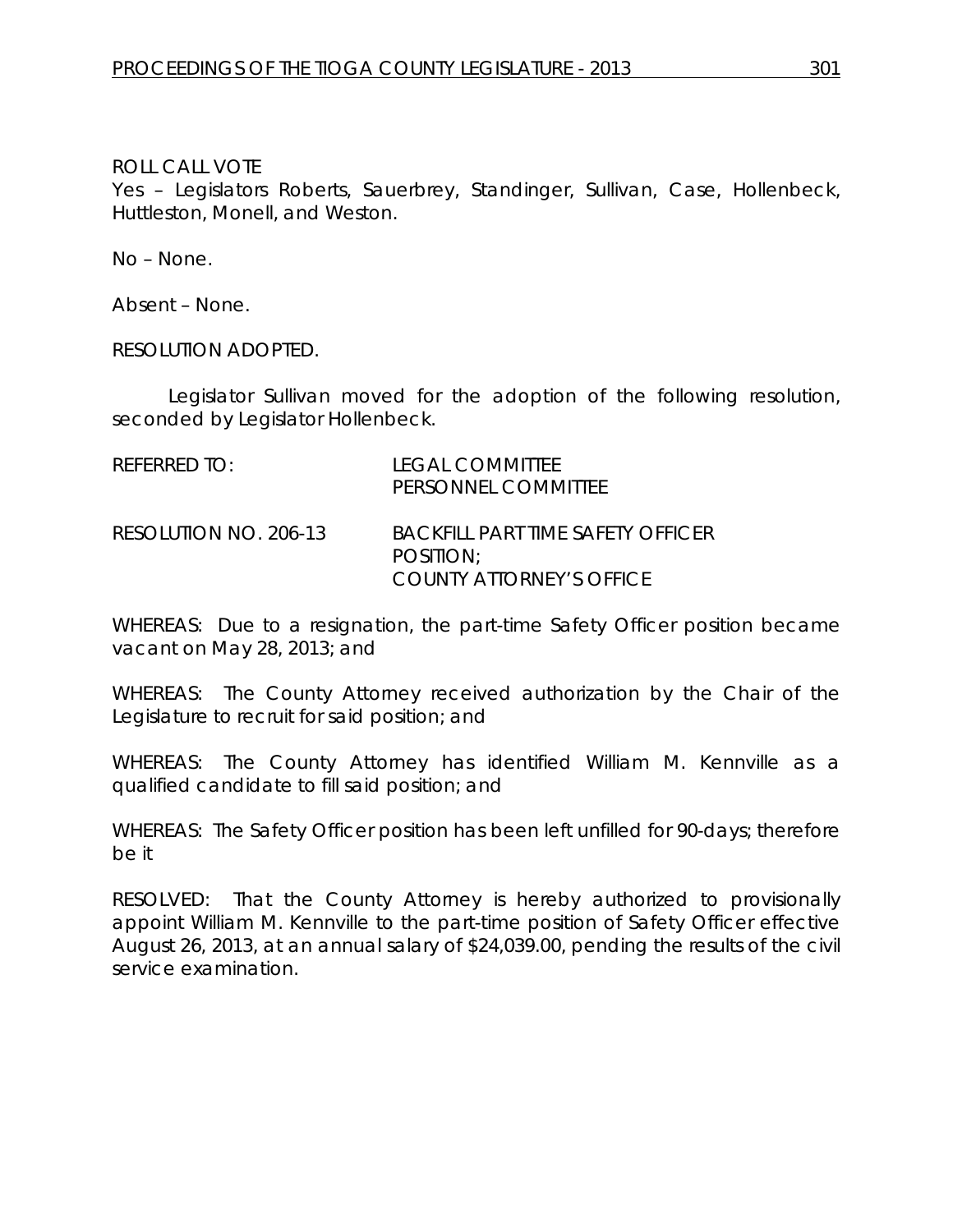Yes – Legislators Roberts, Sauerbrey, Standinger, Sullivan, Case, Hollenbeck, Huttleston, Monell, and Weston.

No – None.

Absent – None.

RESOLUTION ADOPTED.

Legislator Sullivan moved for the adoption of the following resolution, seconded by Legislator Hollenbeck.

| REFERRED TO:          | <b>LEGAL COMMITTEE</b><br>PERSONNEL COMMITTEE                              |
|-----------------------|----------------------------------------------------------------------------|
| RESOLUTION NO. 206-13 | BACKFILL PART TIME SAFETY OFFICER<br>POSITION:<br>COUNTY ATTORNEY'S OFFICE |

WHEREAS: Due to a resignation, the part-time Safety Officer position became vacant on May 28, 2013; and

WHEREAS: The County Attorney received authorization by the Chair of the Legislature to recruit for said position; and

WHEREAS: The County Attorney has identified William M. Kennville as a qualified candidate to fill said position; and

WHEREAS: The Safety Officer position has been left unfilled for 90-days; therefore be it

RESOLVED: That the County Attorney is hereby authorized to provisionally appoint William M. Kennville to the part-time position of Safety Officer effective August 26, 2013, at an annual salary of \$24,039.00, pending the results of the civil service examination.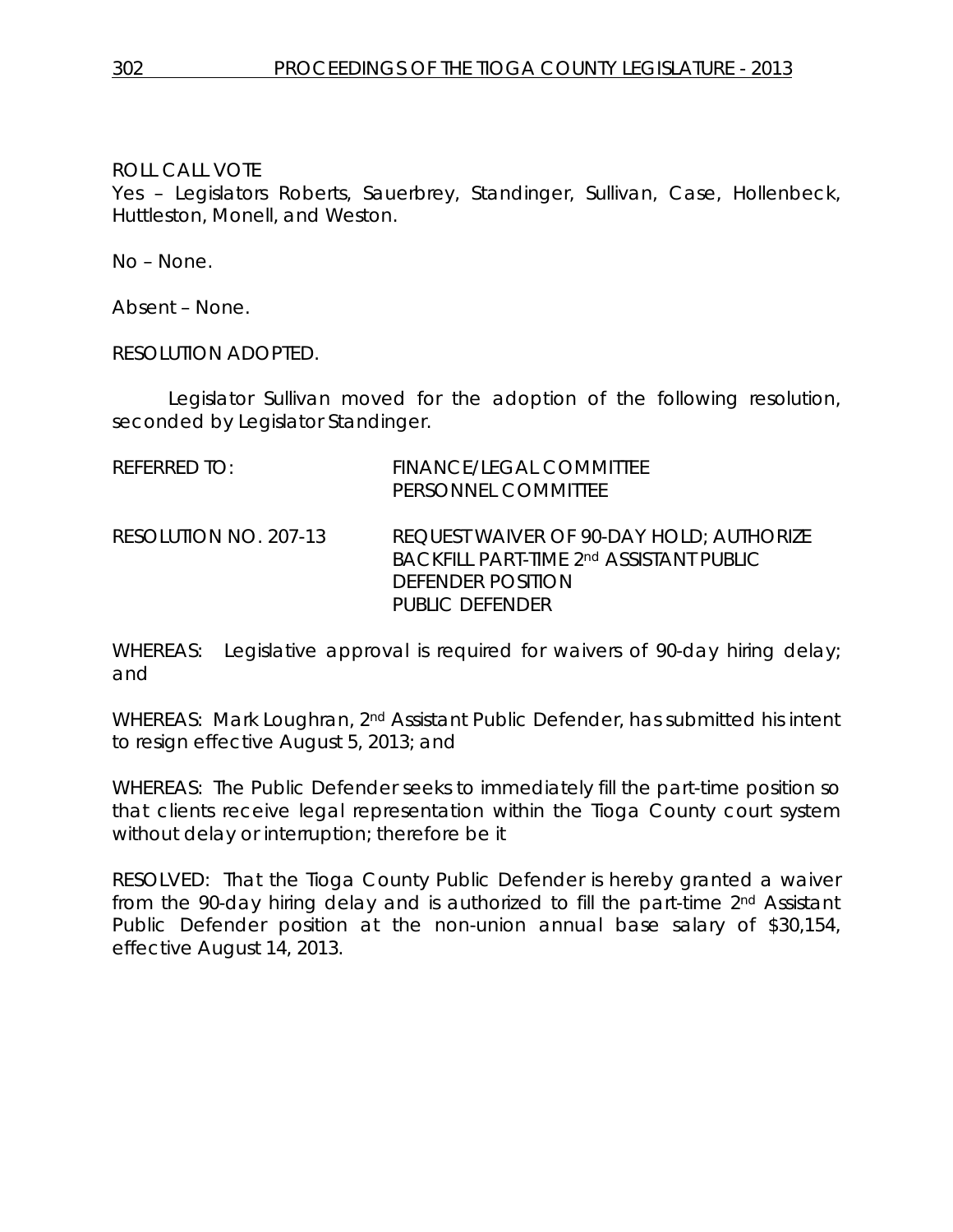Yes – Legislators Roberts, Sauerbrey, Standinger, Sullivan, Case, Hollenbeck, Huttleston, Monell, and Weston.

No – None.

Absent – None.

RESOLUTION ADOPTED.

Legislator Sullivan moved for the adoption of the following resolution, seconded by Legislator Standinger.

| REFERRED TO:          | FINANCE/LEGAL COMMITTEE<br>PERSONNEL COMMITTEE                                                                              |
|-----------------------|-----------------------------------------------------------------------------------------------------------------------------|
| RESOLUTION NO. 207-13 | REQUEST WAIVER OF 90-DAY HOLD; AUTHORIZE<br>BACKFILL PART-TIME 2nd ASSISTANT PUBLIC<br>DEFENDER POSITION<br>PUBLIC DEFENDER |

WHEREAS: Legislative approval is required for waivers of 90-day hiring delay; and

WHEREAS: Mark Loughran, 2<sup>nd</sup> Assistant Public Defender, has submitted his intent to resign effective August 5, 2013; and

WHEREAS: The Public Defender seeks to immediately fill the part-time position so that clients receive legal representation within the Tioga County court system without delay or interruption; therefore be it

RESOLVED: That the Tioga County Public Defender is hereby granted a waiver from the 90-day hiring delay and is authorized to fill the part-time 2nd Assistant Public Defender position at the non-union annual base salary of \$30,154, effective August 14, 2013.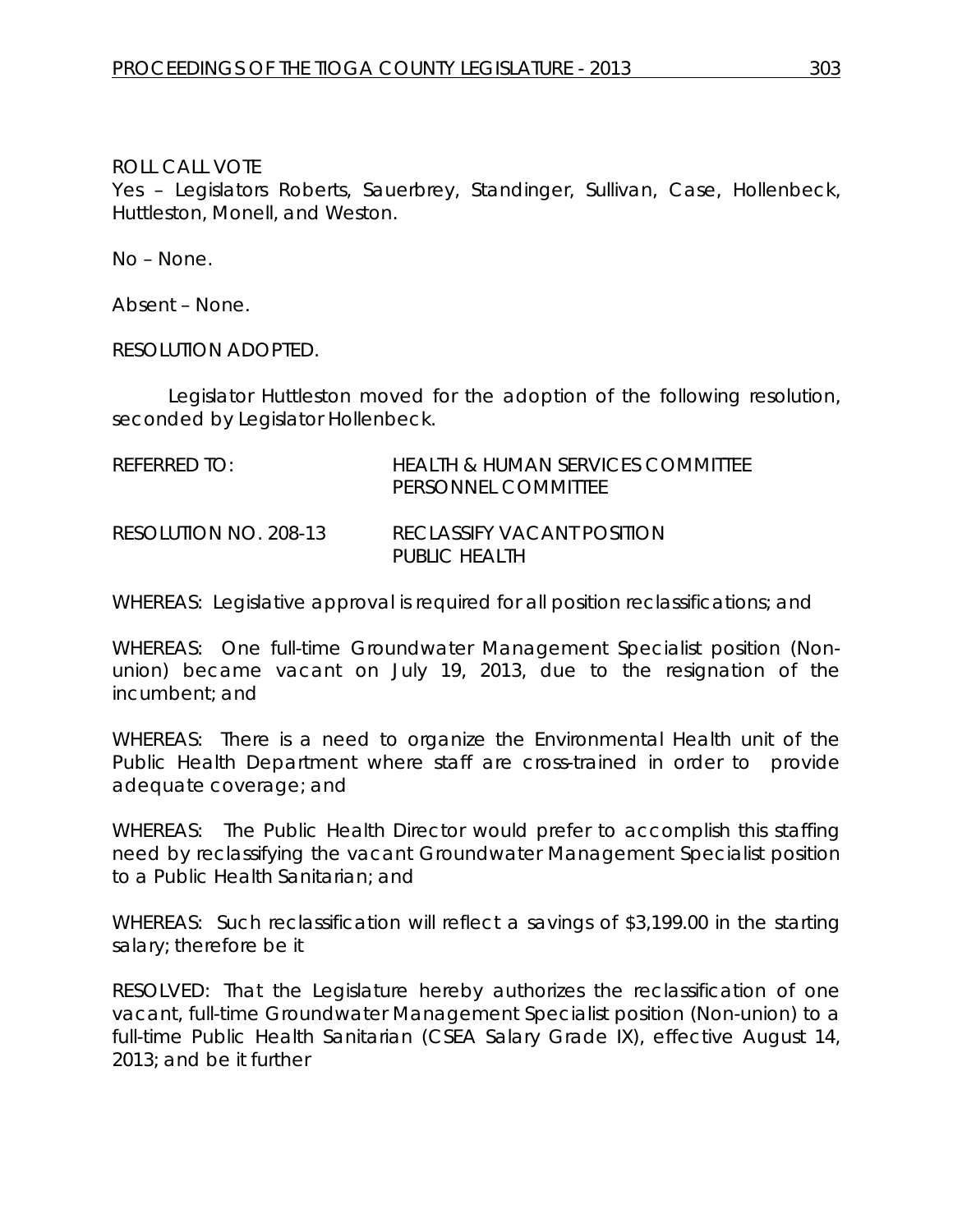Yes – Legislators Roberts, Sauerbrey, Standinger, Sullivan, Case, Hollenbeck, Huttleston, Monell, and Weston.

No – None.

Absent – None.

RESOLUTION ADOPTED.

Legislator Huttleston moved for the adoption of the following resolution, seconded by Legislator Hollenbeck.

| REFERRED TO:          | <b>HEALTH &amp; HUMAN SERVICES COMMITTEE</b><br>PERSONNEL COMMITTEE |
|-----------------------|---------------------------------------------------------------------|
| RESOLUTION NO. 208-13 | <b>RECLASSIFY VACANT POSITION</b><br>PUBLIC HEALTH                  |

WHEREAS: Legislative approval is required for all position reclassifications; and

WHEREAS: One full-time Groundwater Management Specialist position (Nonunion) became vacant on July 19, 2013, due to the resignation of the incumbent; and

WHEREAS: There is a need to organize the Environmental Health unit of the Public Health Department where staff are cross-trained in order to provide adequate coverage; and

WHEREAS: The Public Health Director would prefer to accomplish this staffing need by reclassifying the vacant Groundwater Management Specialist position to a Public Health Sanitarian; and

WHEREAS: Such reclassification will reflect a savings of \$3,199.00 in the starting salary; therefore be it

RESOLVED: That the Legislature hereby authorizes the reclassification of one vacant, full-time Groundwater Management Specialist position (Non-union) to a full-time Public Health Sanitarian (CSEA Salary Grade IX), effective August 14, 2013; and be it further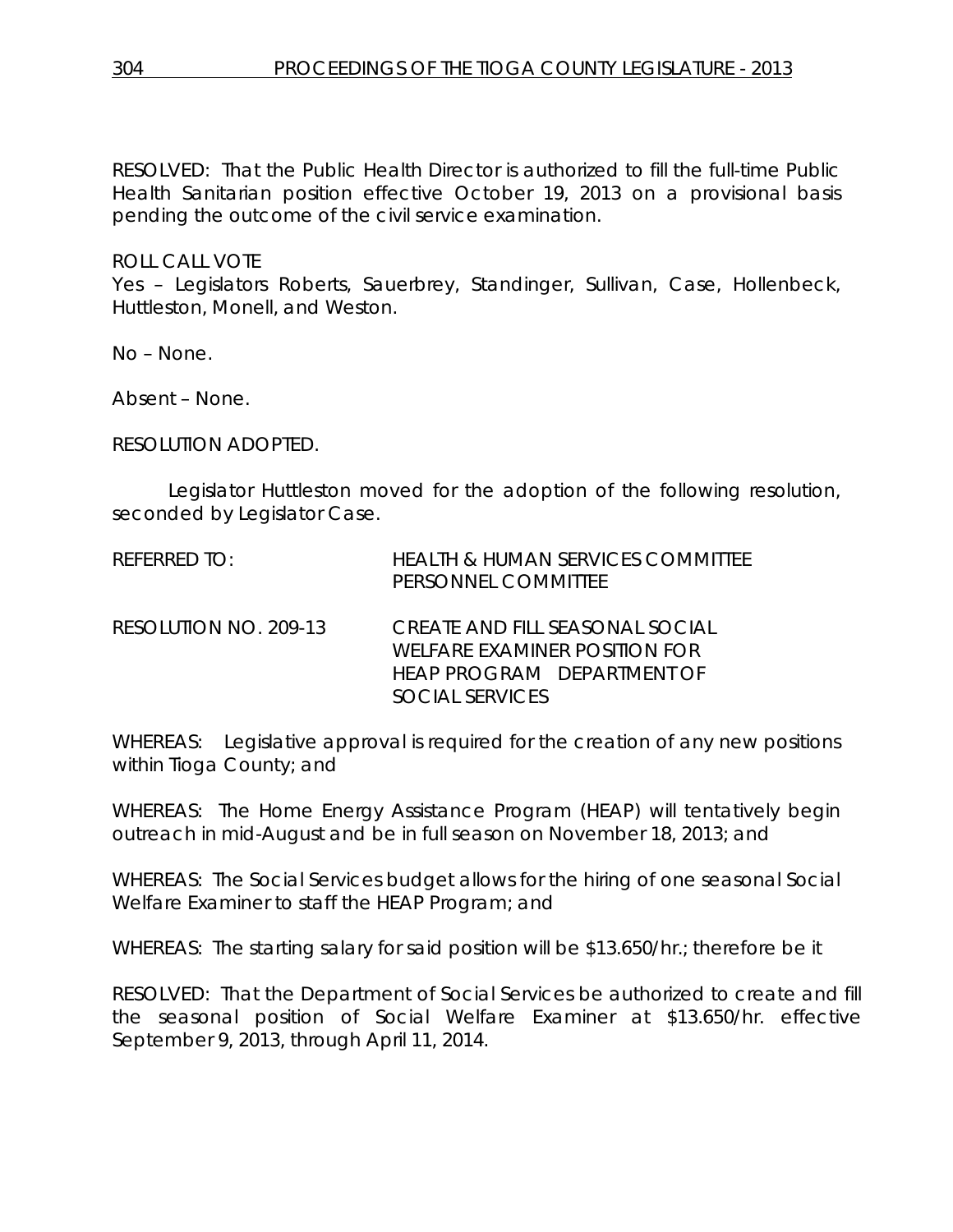RESOLVED: That the Public Health Director is authorized to fill the full-time Public Health Sanitarian position effective October 19, 2013 on a provisional basis pending the outcome of the civil service examination.

#### ROLL CALL VOTE

Yes – Legislators Roberts, Sauerbrey, Standinger, Sullivan, Case, Hollenbeck, Huttleston, Monell, and Weston.

No – None.

Absent – None.

RESOLUTION ADOPTED.

Legislator Huttleston moved for the adoption of the following resolution, seconded by Legislator Case.

| <b>REFERRED TO:</b>   | <b>HEALTH &amp; HUMAN SERVICES COMMITTEE</b><br>PERSONNEL COMMITTEE                                                      |
|-----------------------|--------------------------------------------------------------------------------------------------------------------------|
| RESOLUTION NO. 209-13 | CREATE AND FILL SEASONAL SOCIAL<br>WELFARE EXAMINER POSITION FOR<br><b>HEAP PROGRAM DEPARTMENT OF</b><br>SOCIAL SERVICES |

WHEREAS: Legislative approval is required for the creation of any new positions within Tioga County; and

WHEREAS: The Home Energy Assistance Program (HEAP) will tentatively begin outreach in mid-August and be in full season on November 18, 2013; and

WHEREAS: The Social Services budget allows for the hiring of one seasonal Social Welfare Examiner to staff the HEAP Program; and

WHEREAS: The starting salary for said position will be \$13.650/hr.; therefore be it

RESOLVED: That the Department of Social Services be authorized to create and fill the seasonal position of Social Welfare Examiner at \$13.650/hr. effective September 9, 2013, through April 11, 2014.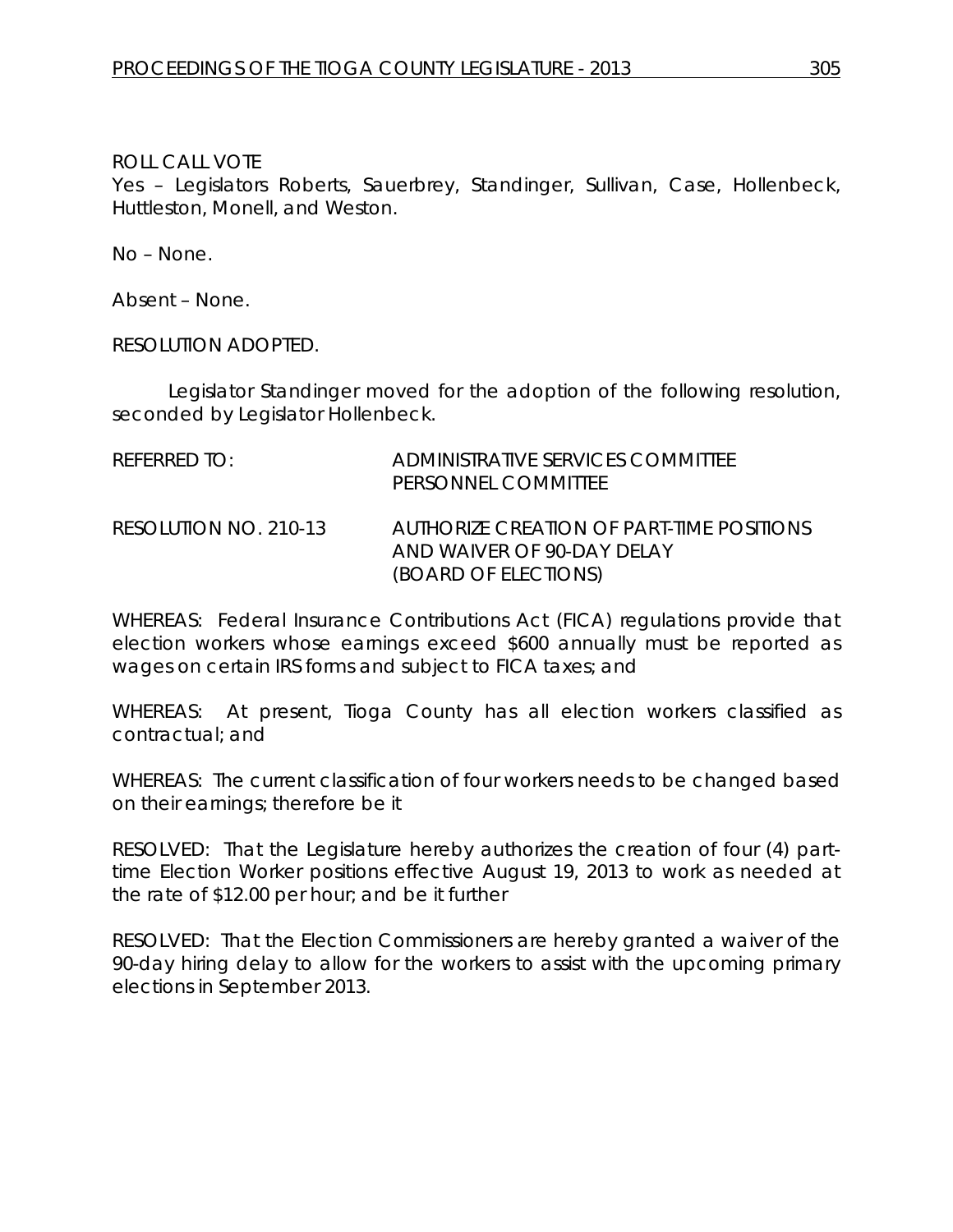Yes – Legislators Roberts, Sauerbrey, Standinger, Sullivan, Case, Hollenbeck, Huttleston, Monell, and Weston.

No – None.

Absent – None.

RESOLUTION ADOPTED.

Legislator Standinger moved for the adoption of the following resolution, seconded by Legislator Hollenbeck.

| REFERRED TO:          | ADMINISTRATIVE SERVICES COMMITTEE<br>PERSONNEL COMMITTEE                                        |
|-----------------------|-------------------------------------------------------------------------------------------------|
| RESOLUTION NO. 210-13 | AUTHORIZE CREATION OF PART-TIME POSITIONS<br>AND WAIVER OF 90-DAY DELAY<br>(BOARD OF ELECTIONS) |

WHEREAS: Federal Insurance Contributions Act (FICA) regulations provide that election workers whose earnings exceed \$600 annually must be reported as wages on certain IRS forms and subject to FICA taxes; and

WHEREAS: At present, Tioga County has all election workers classified as contractual; and

WHEREAS: The current classification of four workers needs to be changed based on their earnings; therefore be it

RESOLVED: That the Legislature hereby authorizes the creation of four (4) parttime Election Worker positions effective August 19, 2013 to work as needed at the rate of \$12.00 per hour; and be it further

RESOLVED: That the Election Commissioners are hereby granted a waiver of the 90-day hiring delay to allow for the workers to assist with the upcoming primary elections in September 2013.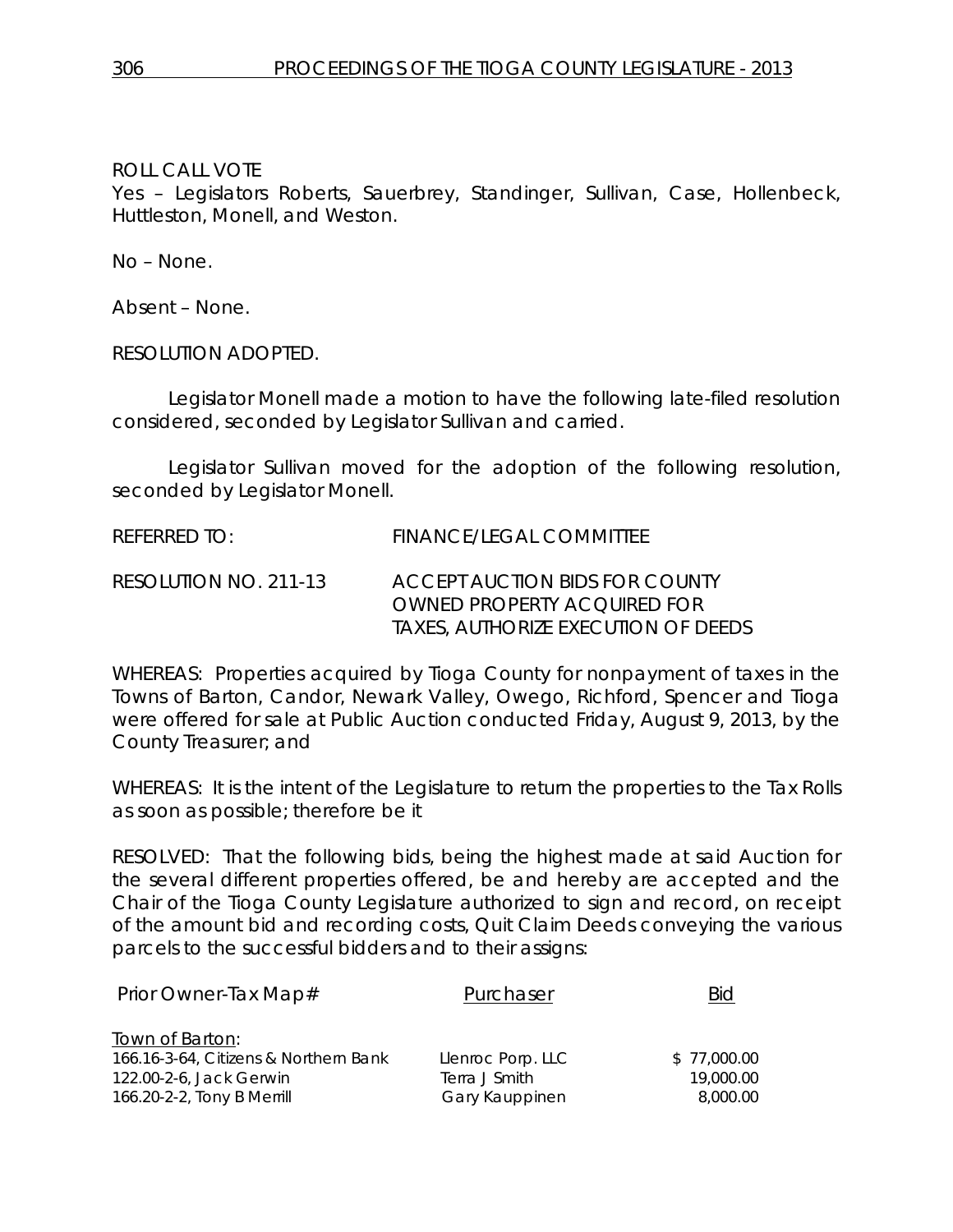Yes – Legislators Roberts, Sauerbrey, Standinger, Sullivan, Case, Hollenbeck, Huttleston, Monell, and Weston.

No – None.

Absent – None.

RESOLUTION ADOPTED.

Legislator Monell made a motion to have the following late-filed resolution considered, seconded by Legislator Sullivan and carried.

Legislator Sullivan moved for the adoption of the following resolution, seconded by Legislator Monell.

REFERRED TO: FINANCE/LEGAL COMMITTEE RESOLUTION NO. 211-13 *ACCEPT AUCTION BIDS FOR COUNTY OWNED PROPERTY ACQUIRED FOR TAXES, AUTHORIZE EXECUTION OF DEEDS*

WHEREAS: Properties acquired by Tioga County for nonpayment of taxes in the Towns of Barton, Candor, Newark Valley, Owego, Richford, Spencer and Tioga were offered for sale at Public Auction conducted Friday, August 9, 2013, by the County Treasurer; and

WHEREAS: It is the intent of the Legislature to return the properties to the Tax Rolls as soon as possible; therefore be it

RESOLVED: That the following bids, being the highest made at said Auction for the several different properties offered, be and hereby are accepted and the Chair of the Tioga County Legislature authorized to sign and record, on receipt of the amount bid and recording costs, Quit Claim Deeds conveying the various parcels to the successful bidders and to their assigns:

| Prior Owner-Tax Map#                  | Purchaser         | Bid         |
|---------------------------------------|-------------------|-------------|
| Town of Barton:                       |                   |             |
| 166.16-3-64, Citizens & Northern Bank | Llenroc Porp. LLC | \$77,000.00 |
| 122.00-2-6, Jack Gerwin               | Terra J Smith     | 19,000.00   |
| 166.20-2-2, Tony B Merrill            | Gary Kauppinen    | 8,000.00    |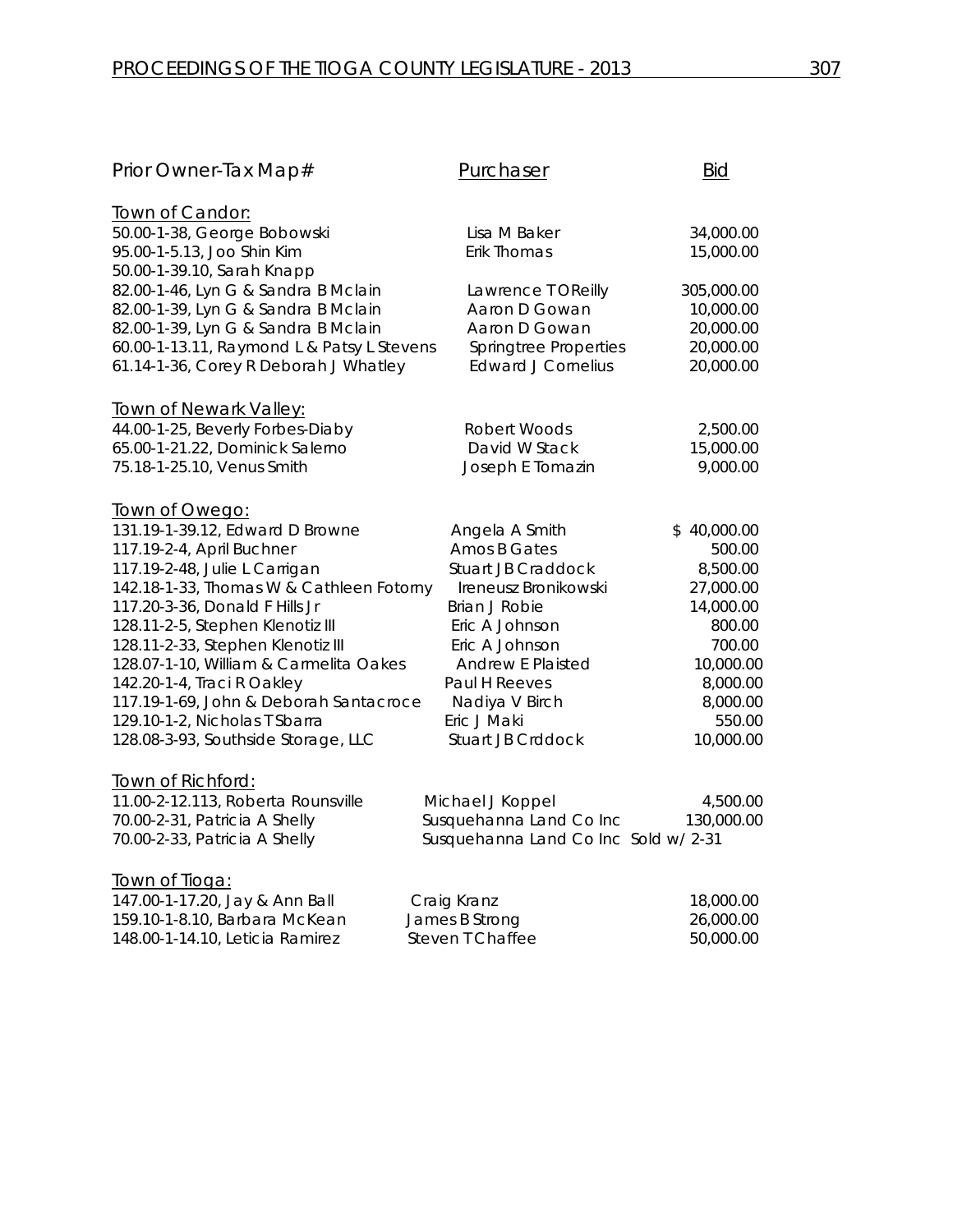| Prior Owner-Tax Map#                              | Purchaser                           | <u>Bid</u>  |
|---------------------------------------------------|-------------------------------------|-------------|
| Town of Candor:                                   |                                     |             |
| 50.00-1-38, George Bobowski                       | Lisa M Baker                        | 34,000.00   |
| 95.00-1-5.13, Joo Shin Kim                        | Erik Thomas                         | 15,000.00   |
| 50.00-1-39.10, Sarah Knapp                        |                                     |             |
| 82.00-1-46, Lyn G & Sandra B Mclain               | Lawrence T OReilly                  | 305,000.00  |
| 82.00-1-39, Lyn G & Sandra B Mclain               | Aaron D Gowan                       | 10,000.00   |
| 82.00-1-39, Lyn G & Sandra B Mclain               | Aaron D Gowan                       | 20,000.00   |
| 60.00-1-13.11, Raymond L & Patsy L Stevens        | Springtree Properties               | 20,000.00   |
| 61.14-1-36, Corey R Deborah J Whatley             | <b>Edward J Cornelius</b>           | 20,000.00   |
| <b>Town of Newark Valley:</b>                     |                                     |             |
| 44.00-1-25, Beverly Forbes-Diaby                  | Robert Woods                        | 2,500.00    |
| 65.00-1-21.22, Dominick Salerno                   | David W Stack                       | 15,000.00   |
| 75.18-1-25.10, Venus Smith                        | Joseph E Tomazin                    | 9,000.00    |
|                                                   |                                     |             |
| Town of Owego:<br>131.19-1-39.12, Edward D Browne | Angela A Smith                      | \$40,000.00 |
| 117.19-2-4, April Buchner                         | Amos B Gates                        | 500.00      |
| 117.19-2-48, Julie L Carrigan                     | <b>Stuart JB Craddock</b>           | 8,500.00    |
| 142.18-1-33, Thomas W & Cathleen Fotorny          | Ireneusz Bronikowski                | 27,000.00   |
| 117.20-3-36, Donald F Hills Jr                    | <b>Brian J Robie</b>                | 14,000.00   |
| 128.11-2-5, Stephen Klenotiz III                  | Eric A Johnson                      | 800.00      |
| 128.11-2-33, Stephen Klenotiz III                 | Eric A Johnson                      | 700.00      |
| 128.07-1-10, William & Carmelita Oakes            | <b>Andrew E Plaisted</b>            | 10,000.00   |
| 142.20-1-4, Traci R Oakley                        | Paul H Reeves                       | 8,000.00    |
| 117.19-1-69, John & Deborah Santacroce            | Nadiya V Birch                      | 8,000.00    |
| 129.10-1-2, Nicholas T Sbarra                     | Eric J Maki                         | 550.00      |
| 128.08-3-93, Southside Storage, LLC               | <b>Stuart JB Crddock</b>            | 10,000.00   |
| <u>Town of Richford:</u>                          |                                     |             |
| 11.00-2-12.113, Roberta Rounsville                | Michael J Koppel                    | 4,500.00    |
| 70.00-2-31, Patricia A Shelly                     | Susquehanna Land Co Inc             | 130,000.00  |
| 70.00-2-33, Patricia A Shelly                     | Susquehanna Land Co Inc Sold w/2-31 |             |
| Town of Tioga:                                    |                                     |             |
| 147.00-1-17.20, Jay & Ann Ball                    | Craig Kranz                         | 18,000.00   |
| 159.10-1-8.10, Barbara McKean                     | James B Strong                      | 26,000.00   |
| 148.00-1-14.10, Leticia Ramirez                   | Steven T Chaffee                    | 50,000.00   |